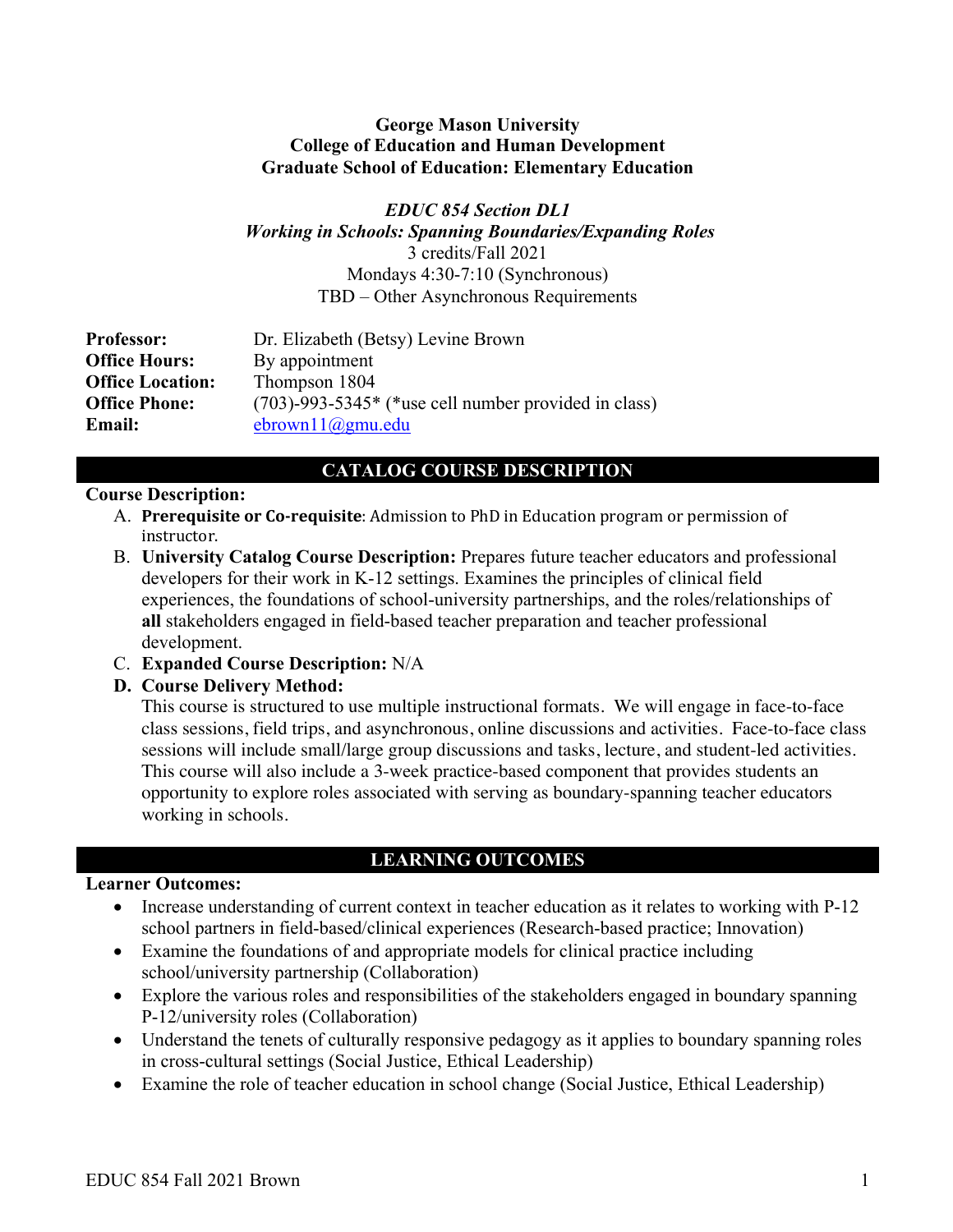### **George Mason University College of Education and Human Development Graduate School of Education: Elementary Education**

*EDUC 854 Section DL1 Working in Schools: Spanning Boundaries/Expanding Roles* 3 credits/Fall 2021 Mondays 4:30-7:10 (Synchronous) TBD – Other Asynchronous Requirements

**Professor:** Dr. Elizabeth (Betsy) Levine Brown **Office Hours:** By appointment **Office Location:** Thompson 1804 **Office Phone:** (703)-993-5345\* (\*use cell number provided in class) **Email:** ebrown11@gmu.edu

# **CATALOG COURSE DESCRIPTION**

### **Course Description:**

- A. **Prerequisite or Co-requisite**: Admission to PhD in Education program or permission of instructor.
- B. **University Catalog Course Description:** Prepares future teacher educators and professional developers for their work in K-12 settings. Examines the principles of clinical field experiences, the foundations of school-university partnerships, and the roles/relationships of **all** stakeholders engaged in field-based teacher preparation and teacher professional development.
- C. **Expanded Course Description:** N/A

## **D. Course Delivery Method:**

This course is structured to use multiple instructional formats. We will engage in face-to-face class sessions, field trips, and asynchronous, online discussions and activities. Face-to-face class sessions will include small/large group discussions and tasks, lecture, and student-led activities. This course will also include a 3-week practice-based component that provides students an opportunity to explore roles associated with serving as boundary-spanning teacher educators working in schools.

# **LEARNING OUTCOMES**

## **Learner Outcomes:**

- Increase understanding of current context in teacher education as it relates to working with P-12 school partners in field-based/clinical experiences (Research-based practice; Innovation)
- Examine the foundations of and appropriate models for clinical practice including school/university partnership (Collaboration)
- Explore the various roles and responsibilities of the stakeholders engaged in boundary spanning P-12/university roles (Collaboration)
- Understand the tenets of culturally responsive pedagogy as it applies to boundary spanning roles in cross-cultural settings (Social Justice, Ethical Leadership)
- Examine the role of teacher education in school change (Social Justice, Ethical Leadership)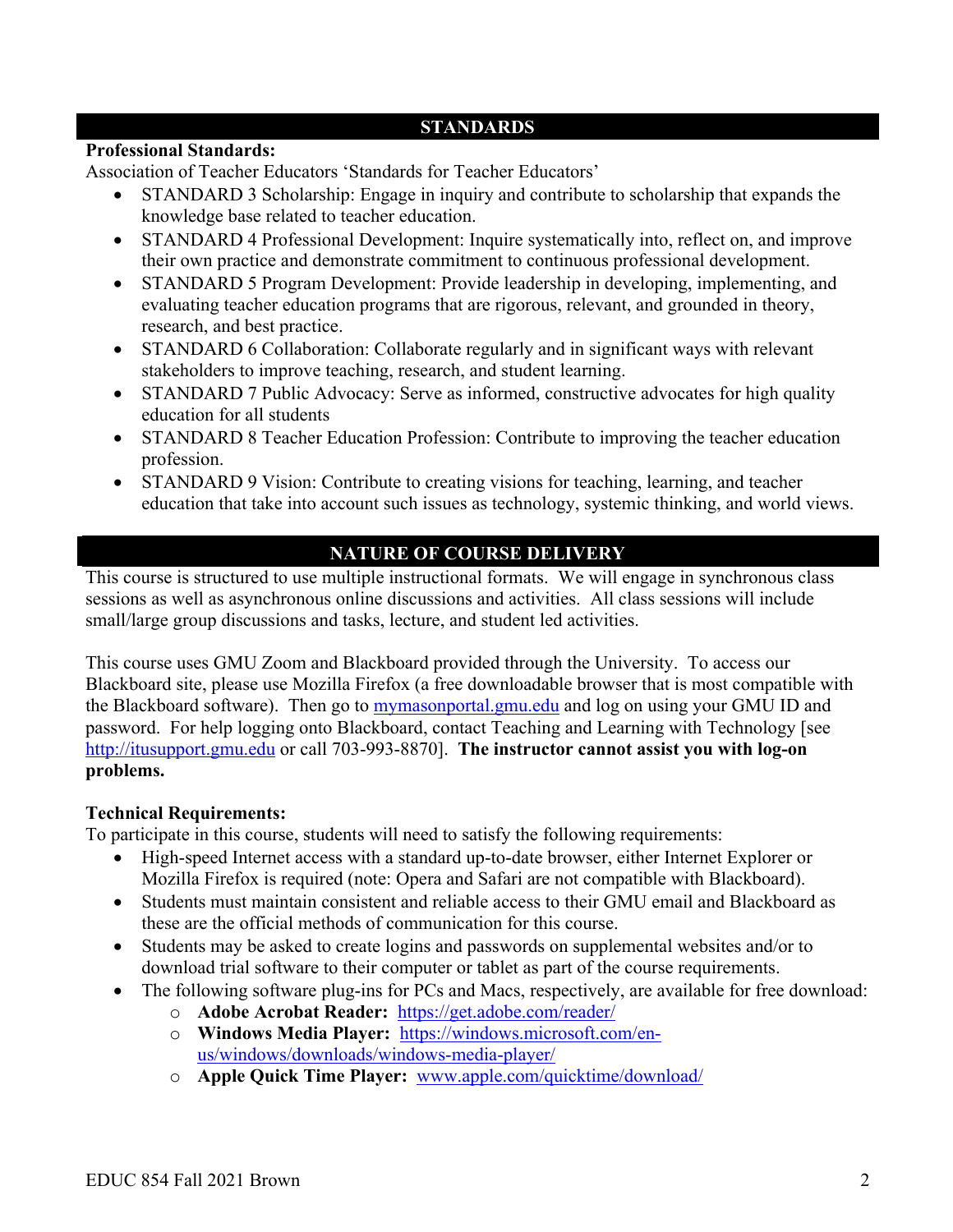# **STANDARDS**

### **Professional Standards:**

Association of Teacher Educators 'Standards for Teacher Educators'

- STANDARD 3 Scholarship: Engage in inquiry and contribute to scholarship that expands the knowledge base related to teacher education.
- STANDARD 4 Professional Development: Inquire systematically into, reflect on, and improve their own practice and demonstrate commitment to continuous professional development.
- STANDARD 5 Program Development: Provide leadership in developing, implementing, and evaluating teacher education programs that are rigorous, relevant, and grounded in theory, research, and best practice.
- STANDARD 6 Collaboration: Collaborate regularly and in significant ways with relevant stakeholders to improve teaching, research, and student learning.
- STANDARD 7 Public Advocacy: Serve as informed, constructive advocates for high quality education for all students
- STANDARD 8 Teacher Education Profession: Contribute to improving the teacher education profession.
- STANDARD 9 Vision: Contribute to creating visions for teaching, learning, and teacher education that take into account such issues as technology, systemic thinking, and world views.

# **NATURE OF COURSE DELIVERY**

This course is structured to use multiple instructional formats. We will engage in synchronous class sessions as well as asynchronous online discussions and activities. All class sessions will include small/large group discussions and tasks, lecture, and student led activities.

This course uses GMU Zoom and Blackboard provided through the University. To access our Blackboard site, please use Mozilla Firefox (a free downloadable browser that is most compatible with the Blackboard software). Then go to mymasonportal.gmu.edu and log on using your GMU ID and password. For help logging onto Blackboard, contact Teaching and Learning with Technology [see http://itusupport.gmu.edu or call 703-993-8870]. **The instructor cannot assist you with log-on problems.**

## **Technical Requirements:**

To participate in this course, students will need to satisfy the following requirements:

- High-speed Internet access with a standard up-to-date browser, either Internet Explorer or Mozilla Firefox is required (note: Opera and Safari are not compatible with Blackboard).
- Students must maintain consistent and reliable access to their GMU email and Blackboard as these are the official methods of communication for this course.
- Students may be asked to create logins and passwords on supplemental websites and/or to download trial software to their computer or tablet as part of the course requirements.
- The following software plug-ins for PCs and Macs, respectively, are available for free download:
	- o **Adobe Acrobat Reader:** https://get.adobe.com/reader/
	- o **Windows Media Player:** https://windows.microsoft.com/enus/windows/downloads/windows-media-player/
	- o **Apple Quick Time Player:** www.apple.com/quicktime/download/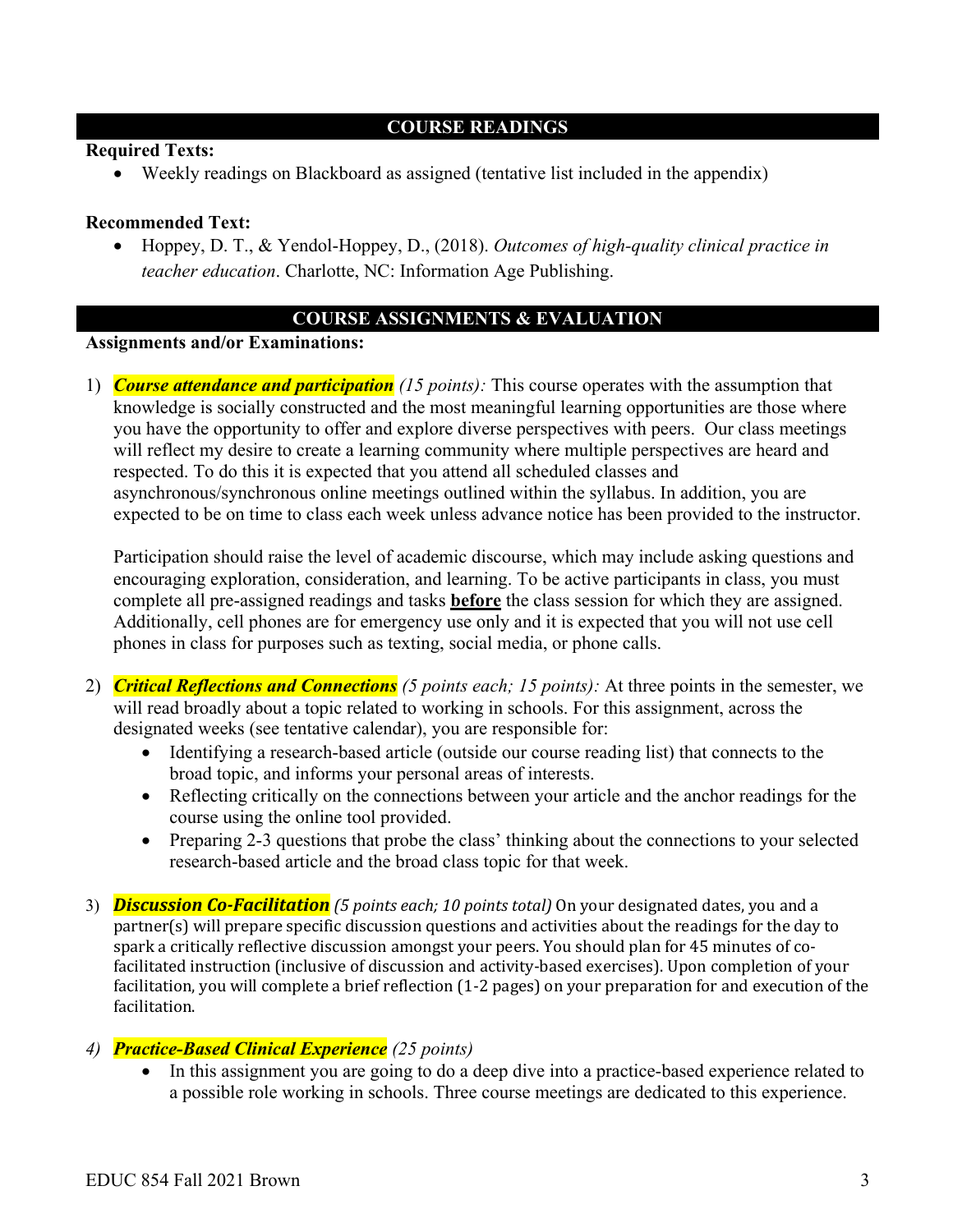## **COURSE READINGS**

### **Required Texts:**

• Weekly readings on Blackboard as assigned (tentative list included in the appendix)

### **Recommended Text:**

• Hoppey, D. T., & Yendol-Hoppey, D., (2018). *Outcomes of high-quality clinical practice in teacher education*. Charlotte, NC: Information Age Publishing.

## **COURSE ASSIGNMENTS & EVALUATION**

#### **Assignments and/or Examinations:**

1) *Course attendance and participation (15 points):* This course operates with the assumption that knowledge is socially constructed and the most meaningful learning opportunities are those where you have the opportunity to offer and explore diverse perspectives with peers. Our class meetings will reflect my desire to create a learning community where multiple perspectives are heard and respected. To do this it is expected that you attend all scheduled classes and asynchronous/synchronous online meetings outlined within the syllabus. In addition, you are expected to be on time to class each week unless advance notice has been provided to the instructor.

Participation should raise the level of academic discourse, which may include asking questions and encouraging exploration, consideration, and learning. To be active participants in class, you must complete all pre-assigned readings and tasks **before** the class session for which they are assigned. Additionally, cell phones are for emergency use only and it is expected that you will not use cell phones in class for purposes such as texting, social media, or phone calls.

- 2) *Critical Reflections and Connections (5 points each; 15 points):* At three points in the semester, we will read broadly about a topic related to working in schools. For this assignment, across the designated weeks (see tentative calendar), you are responsible for:
	- Identifying a research-based article (outside our course reading list) that connects to the broad topic, and informs your personal areas of interests.
	- Reflecting critically on the connections between your article and the anchor readings for the course using the online tool provided.
	- Preparing 2-3 questions that probe the class' thinking about the connections to your selected research-based article and the broad class topic for that week.
- 3) *Discussion Co-Facilitation* (5 points each; 10 points total) On your designated dates, you and a partner(s) will prepare specific discussion questions and activities about the readings for the day to spark a critically reflective discussion amongst your peers. You should plan for 45 minutes of cofacilitated instruction (inclusive of discussion and activity-based exercises). Upon completion of your facilitation, you will complete a brief reflection (1-2 pages) on your preparation for and execution of the facilitation.

### *4) Practice-Based Clinical Experience (25 points)*

• In this assignment you are going to do a deep dive into a practice-based experience related to a possible role working in schools. Three course meetings are dedicated to this experience.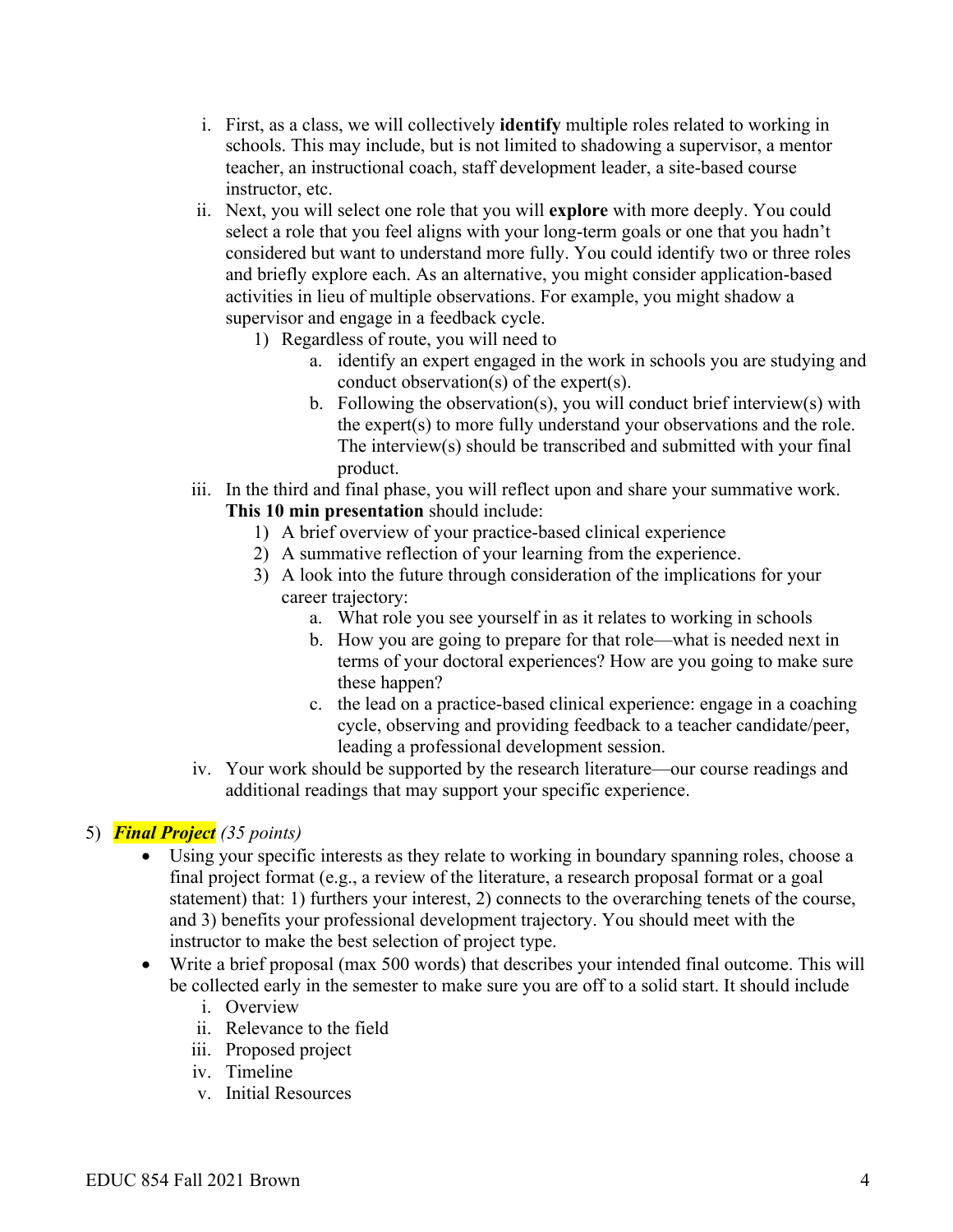- i. First, as a class, we will collectively **identify** multiple roles related to working in schools. This may include, but is not limited to shadowing a supervisor, a mentor teacher, an instructional coach, staff development leader, a site-based course instructor, etc.
- ii. Next, you will select one role that you will **explore** with more deeply. You could select a role that you feel aligns with your long-term goals or one that you hadn't considered but want to understand more fully. You could identify two or three roles and briefly explore each. As an alternative, you might consider application-based activities in lieu of multiple observations. For example, you might shadow a supervisor and engage in a feedback cycle.
	- 1) Regardless of route, you will need to
		- a. identify an expert engaged in the work in schools you are studying and conduct observation(s) of the expert(s).
		- b. Following the observation(s), you will conduct brief interview(s) with the expert(s) to more fully understand your observations and the role. The interview(s) should be transcribed and submitted with your final product.
- iii. In the third and final phase, you will reflect upon and share your summative work. **This 10 min presentation** should include:
	- 1) A brief overview of your practice-based clinical experience
	- 2) A summative reflection of your learning from the experience.
	- 3) A look into the future through consideration of the implications for your career trajectory:
		- a. What role you see yourself in as it relates to working in schools
		- b. How you are going to prepare for that role—what is needed next in terms of your doctoral experiences? How are you going to make sure these happen?
		- c. the lead on a practice-based clinical experience: engage in a coaching cycle, observing and providing feedback to a teacher candidate/peer, leading a professional development session.
- iv. Your work should be supported by the research literature—our course readings and additional readings that may support your specific experience.

## 5) *Final Project (35 points)*

- Using your specific interests as they relate to working in boundary spanning roles, choose a final project format (e.g., a review of the literature, a research proposal format or a goal statement) that: 1) furthers your interest, 2) connects to the overarching tenets of the course, and 3) benefits your professional development trajectory. You should meet with the instructor to make the best selection of project type.
- Write a brief proposal (max 500 words) that describes your intended final outcome. This will be collected early in the semester to make sure you are off to a solid start. It should include
	- i. Overview
	- ii. Relevance to the field
	- iii. Proposed project
	- iv. Timeline
	- v. Initial Resources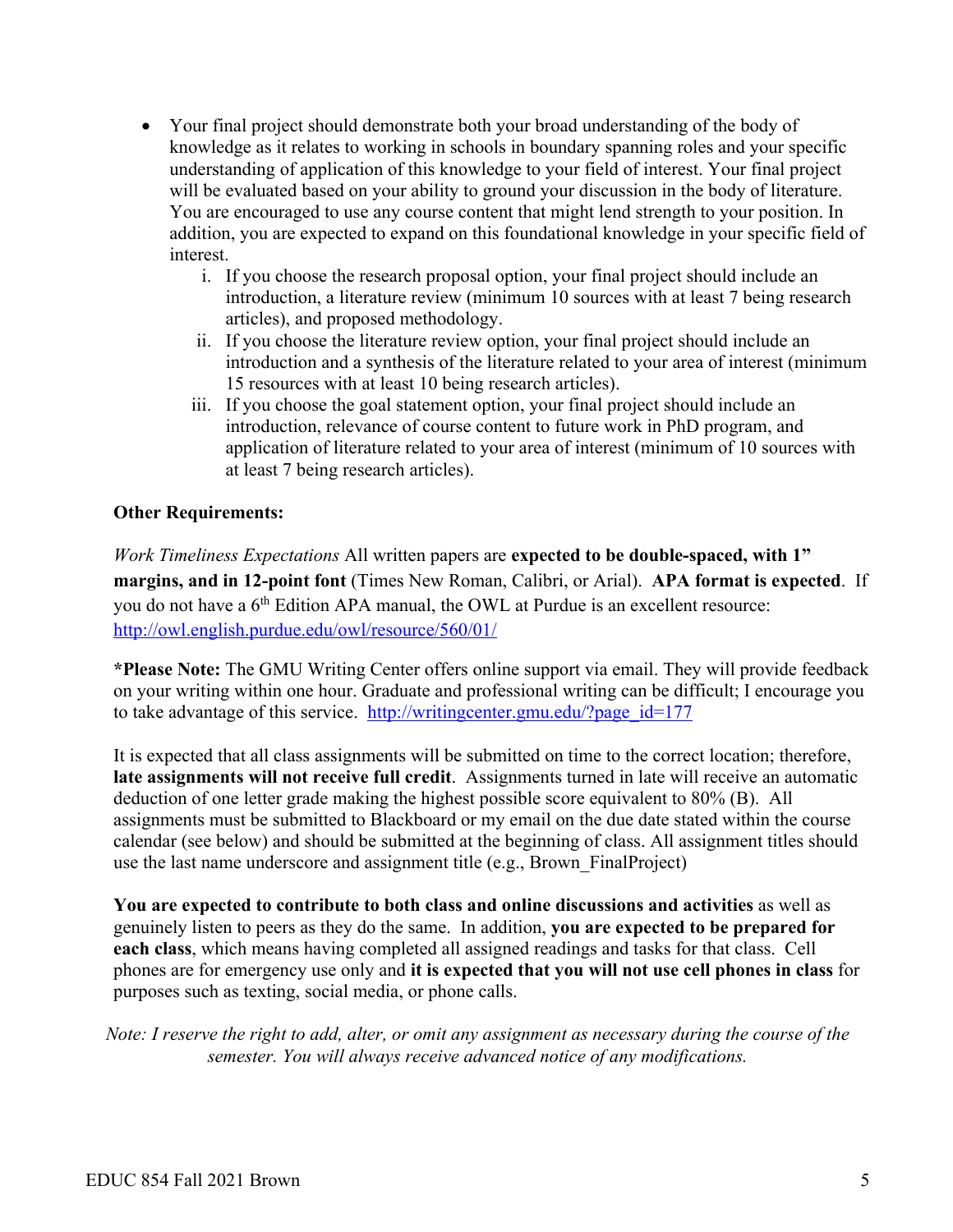- Your final project should demonstrate both your broad understanding of the body of knowledge as it relates to working in schools in boundary spanning roles and your specific understanding of application of this knowledge to your field of interest. Your final project will be evaluated based on your ability to ground your discussion in the body of literature. You are encouraged to use any course content that might lend strength to your position. In addition, you are expected to expand on this foundational knowledge in your specific field of interest.
	- i. If you choose the research proposal option, your final project should include an introduction, a literature review (minimum 10 sources with at least 7 being research articles), and proposed methodology.
	- ii. If you choose the literature review option, your final project should include an introduction and a synthesis of the literature related to your area of interest (minimum 15 resources with at least 10 being research articles).
	- iii. If you choose the goal statement option, your final project should include an introduction, relevance of course content to future work in PhD program, and application of literature related to your area of interest (minimum of 10 sources with at least 7 being research articles).

## **Other Requirements:**

*Work Timeliness Expectations* All written papers are **expected to be double-spaced, with 1" margins, and in 12-point font** (Times New Roman, Calibri, or Arial). **APA format is expected**. If you do not have a 6<sup>th</sup> Edition APA manual, the OWL at Purdue is an excellent resource: http://owl.english.purdue.edu/owl/resource/560/01/

**\*Please Note:** The GMU Writing Center offers online support via email. They will provide feedback on your writing within one hour. Graduate and professional writing can be difficult; I encourage you to take advantage of this service. http://writingcenter.gmu.edu/?page\_id=177

It is expected that all class assignments will be submitted on time to the correct location; therefore, **late assignments will not receive full credit**. Assignments turned in late will receive an automatic deduction of one letter grade making the highest possible score equivalent to 80% (B). All assignments must be submitted to Blackboard or my email on the due date stated within the course calendar (see below) and should be submitted at the beginning of class. All assignment titles should use the last name underscore and assignment title (e.g., Brown\_FinalProject)

**You are expected to contribute to both class and online discussions and activities** as well as genuinely listen to peers as they do the same. In addition, **you are expected to be prepared for each class**, which means having completed all assigned readings and tasks for that class. Cell phones are for emergency use only and **it is expected that you will not use cell phones in class** for purposes such as texting, social media, or phone calls.

*Note: I reserve the right to add, alter, or omit any assignment as necessary during the course of the semester. You will always receive advanced notice of any modifications.*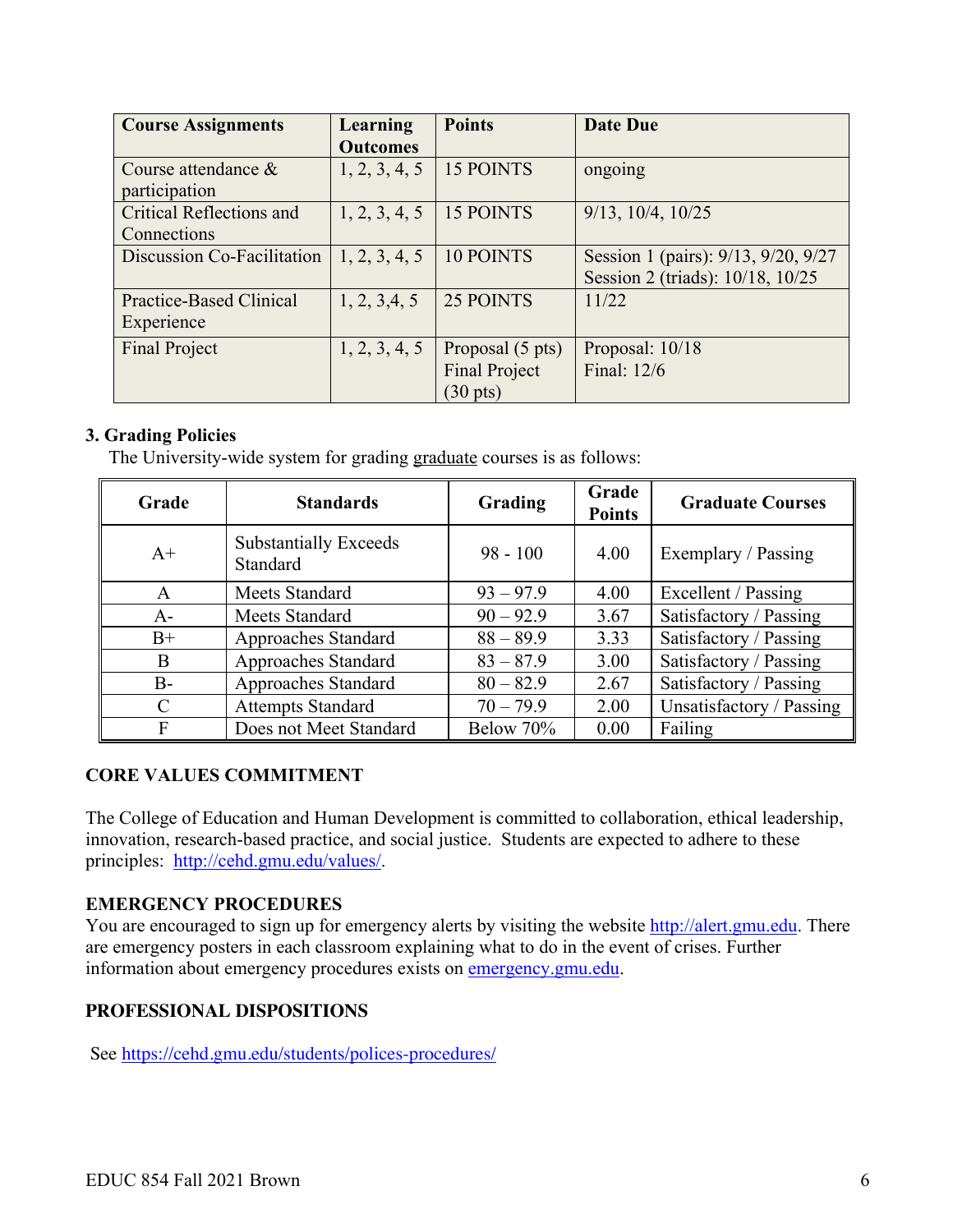| <b>Course Assignments</b>       | Learning        | <b>Points</b>        | <b>Date Due</b>                     |
|---------------------------------|-----------------|----------------------|-------------------------------------|
|                                 | <b>Outcomes</b> |                      |                                     |
| Course attendance $\&$          | 1, 2, 3, 4, 5   | 15 POINTS            | ongoing                             |
| participation                   |                 |                      |                                     |
| <b>Critical Reflections and</b> | 1, 2, 3, 4, 5   | <b>15 POINTS</b>     | $9/13$ , $10/4$ , $10/25$           |
| Connections                     |                 |                      |                                     |
| Discussion Co-Facilitation      | 1, 2, 3, 4, 5   | <b>10 POINTS</b>     | Session 1 (pairs): 9/13, 9/20, 9/27 |
|                                 |                 |                      | Session 2 (triads): 10/18, 10/25    |
| Practice-Based Clinical         | 1, 2, 3, 4, 5   | 25 POINTS            | 11/22                               |
| Experience                      |                 |                      |                                     |
| <b>Final Project</b>            | 1, 2, 3, 4, 5   | Proposal (5 pts)     | Proposal: 10/18                     |
|                                 |                 | <b>Final Project</b> | Final: 12/6                         |
|                                 |                 | $(30 \text{ pts})$   |                                     |

## **3. Grading Policies**

The University-wide system for grading graduate courses is as follows:

| Grade | <b>Standards</b>                         | Grading     | Grade<br><b>Points</b> | <b>Graduate Courses</b>  |
|-------|------------------------------------------|-------------|------------------------|--------------------------|
| $A+$  | <b>Substantially Exceeds</b><br>Standard | $98 - 100$  | 4.00                   | Exemplary / Passing      |
| A     | Meets Standard                           | $93 - 97.9$ | 4.00                   | Excellent / Passing      |
| $A -$ | Meets Standard                           | $90 - 92.9$ | 3.67                   | Satisfactory / Passing   |
| $B+$  | Approaches Standard                      | $88 - 89.9$ | 3.33                   | Satisfactory / Passing   |
| B     | Approaches Standard                      | $83 - 87.9$ | 3.00                   | Satisfactory / Passing   |
| $B -$ | Approaches Standard                      | $80 - 82.9$ | 2.67                   | Satisfactory / Passing   |
| C     | <b>Attempts Standard</b>                 | $70 - 79.9$ | 2.00                   | Unsatisfactory / Passing |
| F     | Does not Meet Standard                   | Below 70%   | 0.00                   | Failing                  |

## **CORE VALUES COMMITMENT**

The College of Education and Human Development is committed to collaboration, ethical leadership, innovation, research-based practice, and social justice. Students are expected to adhere to these principles: http://cehd.gmu.edu/values/.

## **EMERGENCY PROCEDURES**

You are encouraged to sign up for emergency alerts by visiting the website http://alert.gmu.edu. There are emergency posters in each classroom explaining what to do in the event of crises. Further information about emergency procedures exists on emergency.gmu.edu.

## **PROFESSIONAL DISPOSITIONS**

See https://cehd.gmu.edu/students/polices-procedures/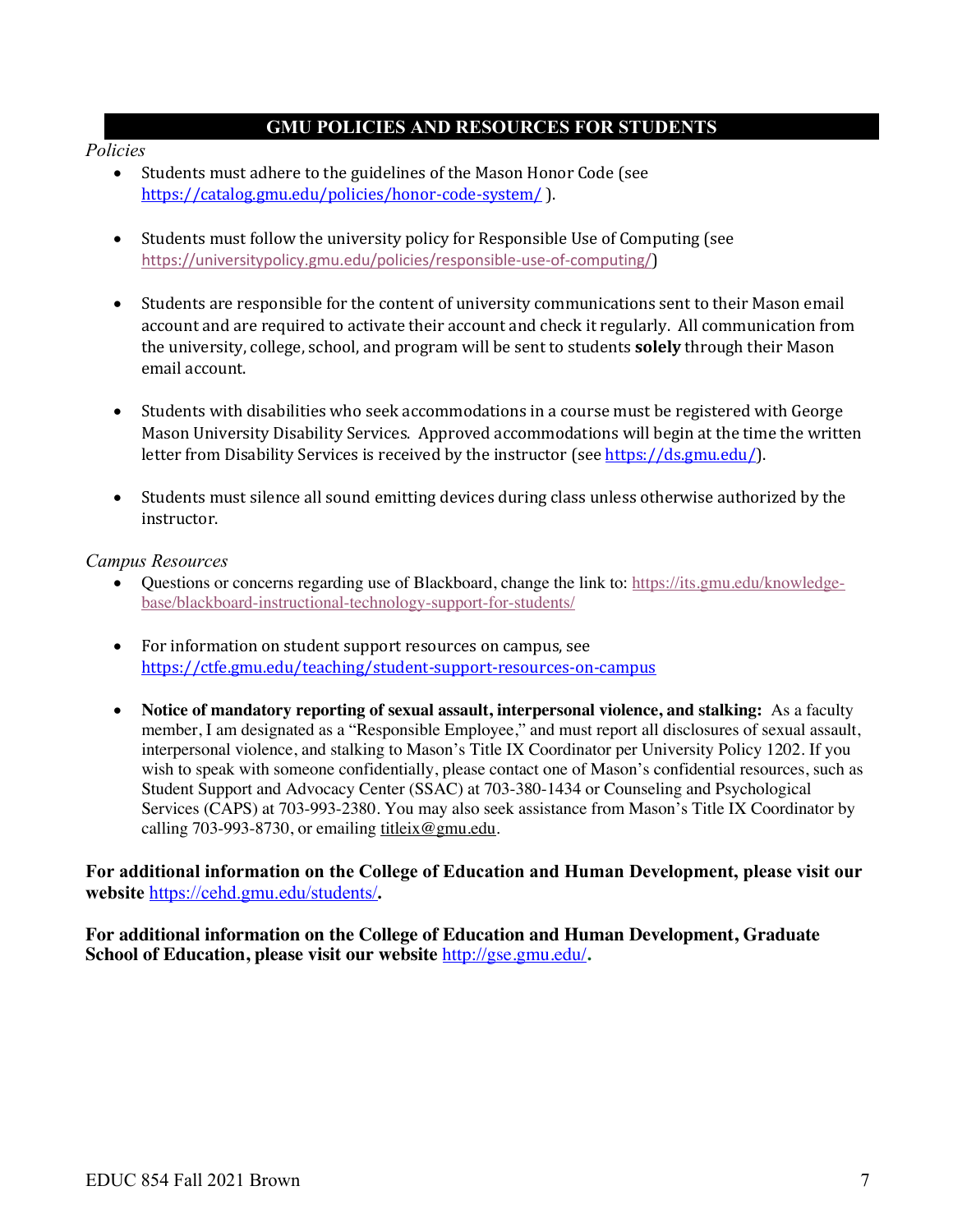### **GMU POLICIES AND RESOURCES FOR STUDENTS**

#### *Policies*

- Students must adhere to the guidelines of the Mason Honor Code (see https://catalog.gmu.edu/policies/honor-code-system/ ).
- Students must follow the university policy for Responsible Use of Computing (see https://universitypolicy.gmu.edu/policies/responsible-use-of-computing/)
- Students are responsible for the content of university communications sent to their Mason email account and are required to activate their account and check it regularly. All communication from the university, college, school, and program will be sent to students **solely** through their Mason email account.
- Students with disabilities who seek accommodations in a course must be registered with George Mason University Disability Services. Approved accommodations will begin at the time the written letter from Disability Services is received by the instructor (see https://ds.gmu.edu/).
- Students must silence all sound emitting devices during class unless otherwise authorized by the instructor.

#### *Campus Resources*

- Questions or concerns regarding use of Blackboard, change the link to: https://its.gmu.edu/knowledgebase/blackboard-instructional-technology-support-for-students/
- For information on student support resources on campus, see https://ctfe.gmu.edu/teaching/student-support-resources-on-campus
- **Notice of mandatory reporting of sexual assault, interpersonal violence, and stalking:** As a faculty member, I am designated as a "Responsible Employee," and must report all disclosures of sexual assault, interpersonal violence, and stalking to Mason's Title IX Coordinator per University Policy 1202. If you wish to speak with someone confidentially, please contact one of Mason's confidential resources, such as Student Support and Advocacy Center (SSAC) at 703-380-1434 or Counseling and Psychological Services (CAPS) at 703-993-2380. You may also seek assistance from Mason's Title IX Coordinator by calling 703-993-8730, or emailing titleix@gmu.edu.

**For additional information on the College of Education and Human Development, please visit our website** https://cehd.gmu.edu/students/**.**

**For additional information on the College of Education and Human Development, Graduate School of Education, please visit our website** http://gse.gmu.edu/**.**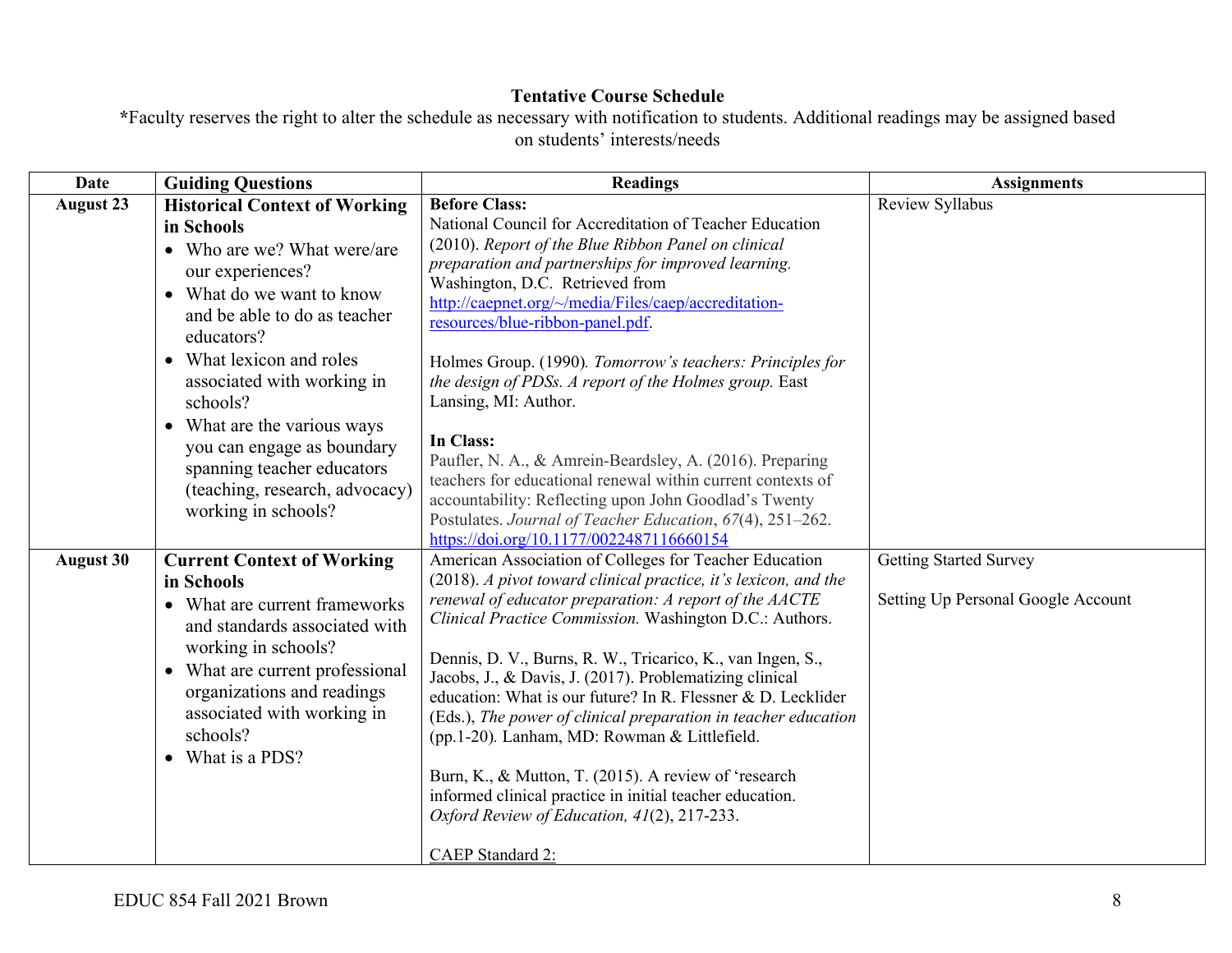## **Tentative Course Schedule**

**\***Faculty reserves the right to alter the schedule as necessary with notification to students. Additional readings may be assigned based on students' interests/needs

| <b>Date</b>      | <b>Guiding Questions</b>                                                                                                                                                                                                                                                                                                                                       | <b>Readings</b>                                                                                                                                                                                                                                                                                                                                                                                                                                                                                                                                                                                                                                                                                                                                                                                                                                                                                                                                               | <b>Assignments</b>                                                  |
|------------------|----------------------------------------------------------------------------------------------------------------------------------------------------------------------------------------------------------------------------------------------------------------------------------------------------------------------------------------------------------------|---------------------------------------------------------------------------------------------------------------------------------------------------------------------------------------------------------------------------------------------------------------------------------------------------------------------------------------------------------------------------------------------------------------------------------------------------------------------------------------------------------------------------------------------------------------------------------------------------------------------------------------------------------------------------------------------------------------------------------------------------------------------------------------------------------------------------------------------------------------------------------------------------------------------------------------------------------------|---------------------------------------------------------------------|
| <b>August 23</b> | <b>Historical Context of Working</b><br>in Schools<br>• Who are we? What were/are<br>our experiences?<br>• What do we want to know<br>and be able to do as teacher<br>educators?<br>• What lexicon and roles<br>associated with working in<br>schools?<br>• What are the various ways<br>you can engage as boundary                                            | <b>Before Class:</b><br>National Council for Accreditation of Teacher Education<br>(2010). Report of the Blue Ribbon Panel on clinical<br>preparation and partnerships for improved learning.<br>Washington, D.C. Retrieved from<br>http://caepnet.org/~/media/Files/caep/accreditation-<br>resources/blue-ribbon-panel.pdf.<br>Holmes Group. (1990). Tomorrow's teachers: Principles for<br>the design of PDSs. A report of the Holmes group. East<br>Lansing, MI: Author.<br>In Class:<br>Paufler, N. A., & Amrein-Beardsley, A. (2016). Preparing                                                                                                                                                                                                                                                                                                                                                                                                          | Review Syllabus                                                     |
| <b>August 30</b> | spanning teacher educators<br>(teaching, research, advocacy)<br>working in schools?<br><b>Current Context of Working</b><br>in Schools<br>• What are current frameworks<br>and standards associated with<br>working in schools?<br>• What are current professional<br>organizations and readings<br>associated with working in<br>schools?<br>• What is a PDS? | teachers for educational renewal within current contexts of<br>accountability: Reflecting upon John Goodlad's Twenty<br>Postulates. Journal of Teacher Education, 67(4), 251-262.<br>https://doi.org/10.1177/0022487116660154<br>American Association of Colleges for Teacher Education<br>(2018). A pivot toward clinical practice, it's lexicon, and the<br>renewal of educator preparation: A report of the AACTE<br>Clinical Practice Commission. Washington D.C.: Authors.<br>Dennis, D. V., Burns, R. W., Tricarico, K., van Ingen, S.,<br>Jacobs, J., & Davis, J. (2017). Problematizing clinical<br>education: What is our future? In R. Flessner & D. Lecklider<br>(Eds.), The power of clinical preparation in teacher education<br>(pp.1-20). Lanham, MD: Rowman & Littlefield.<br>Burn, K., & Mutton, T. (2015). A review of 'research<br>informed clinical practice in initial teacher education.<br>Oxford Review of Education, 41(2), 217-233. | <b>Getting Started Survey</b><br>Setting Up Personal Google Account |
|                  |                                                                                                                                                                                                                                                                                                                                                                | CAEP Standard 2:                                                                                                                                                                                                                                                                                                                                                                                                                                                                                                                                                                                                                                                                                                                                                                                                                                                                                                                                              |                                                                     |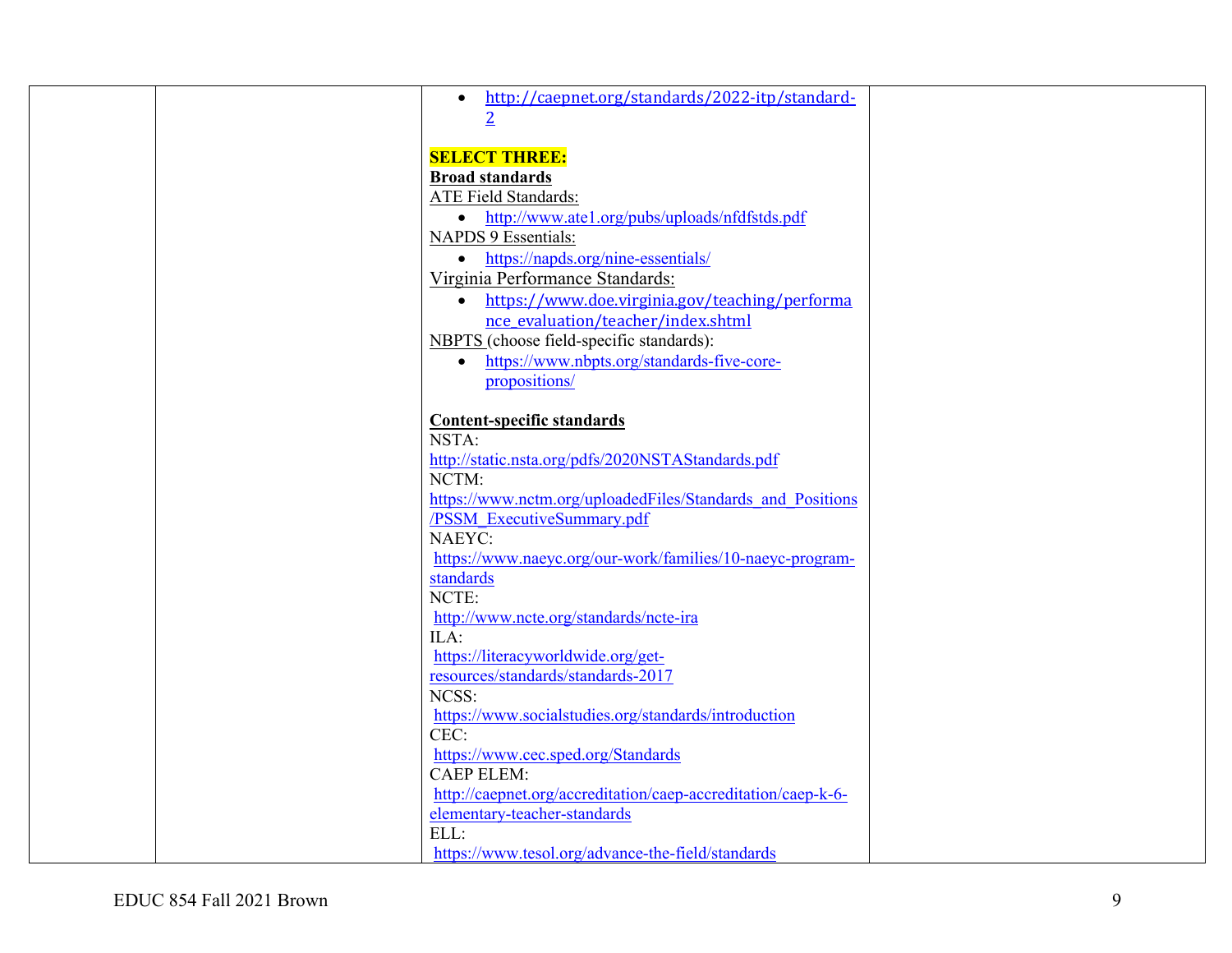|  | http://caepnet.org/standards/2022-itp/standard-<br>$\bullet$  |  |
|--|---------------------------------------------------------------|--|
|  |                                                               |  |
|  |                                                               |  |
|  | <b>SELECT THREE:</b>                                          |  |
|  | <b>Broad standards</b>                                        |  |
|  | <b>ATE Field Standards:</b>                                   |  |
|  | • http://www.atel.org/pubs/uploads/nfdfstds.pdf               |  |
|  | <b>NAPDS 9 Essentials:</b>                                    |  |
|  | https://napds.org/nine-essentials/                            |  |
|  | $\bullet$                                                     |  |
|  | Virginia Performance Standards:                               |  |
|  | • https://www.doe.virginia.gov/teaching/performa              |  |
|  | nce evaluation/teacher/index.shtml                            |  |
|  | NBPTS (choose field-specific standards):                      |  |
|  | https://www.nbpts.org/standards-five-core-<br>$\bullet$       |  |
|  | propositions/                                                 |  |
|  |                                                               |  |
|  | <b>Content-specific standards</b>                             |  |
|  | NSTA:                                                         |  |
|  | http://static.nsta.org/pdfs/2020NSTAStandards.pdf             |  |
|  | NCTM:                                                         |  |
|  | https://www.nctm.org/uploadedFiles/Standards and Positions    |  |
|  | /PSSM ExecutiveSummary.pdf                                    |  |
|  | NAEYC:                                                        |  |
|  | https://www.naeyc.org/our-work/families/10-naeyc-program-     |  |
|  | standards                                                     |  |
|  | NCTE:                                                         |  |
|  |                                                               |  |
|  | http://www.ncte.org/standards/ncte-ira                        |  |
|  | ILA:                                                          |  |
|  | https://literacyworldwide.org/get-                            |  |
|  | resources/standards/standards-2017                            |  |
|  | NCSS:                                                         |  |
|  | https://www.socialstudies.org/standards/introduction          |  |
|  | CEC:                                                          |  |
|  | https://www.cec.sped.org/Standards                            |  |
|  | <b>CAEP ELEM:</b>                                             |  |
|  | http://caepnet.org/accreditation/caep-accreditation/caep-k-6- |  |
|  | elementary-teacher-standards                                  |  |
|  | ELL:                                                          |  |
|  | https://www.tesol.org/advance-the-field/standards             |  |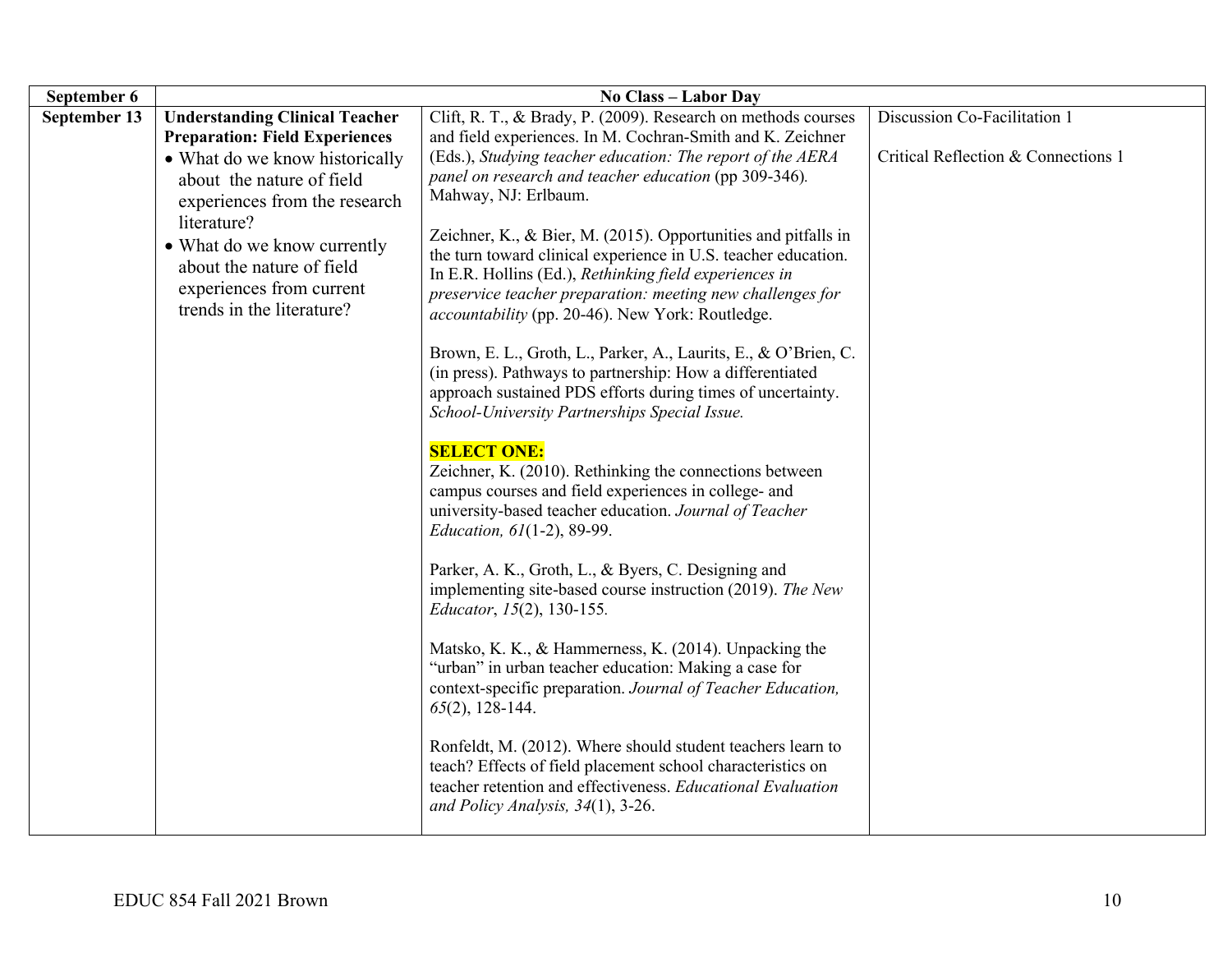| September 6  |                                                                                                                   | No Class - Labor Day                                                                                                                                                                                                                                                                                         |                                     |
|--------------|-------------------------------------------------------------------------------------------------------------------|--------------------------------------------------------------------------------------------------------------------------------------------------------------------------------------------------------------------------------------------------------------------------------------------------------------|-------------------------------------|
| September 13 | <b>Understanding Clinical Teacher</b><br><b>Preparation: Field Experiences</b>                                    | Clift, R. T., & Brady, P. (2009). Research on methods courses<br>and field experiences. In M. Cochran-Smith and K. Zeichner                                                                                                                                                                                  | Discussion Co-Facilitation 1        |
|              | • What do we know historically<br>about the nature of field<br>experiences from the research<br>literature?       | (Eds.), Studying teacher education: The report of the AERA<br>panel on research and teacher education (pp 309-346).<br>Mahway, NJ: Erlbaum.                                                                                                                                                                  | Critical Reflection & Connections 1 |
|              | • What do we know currently<br>about the nature of field<br>experiences from current<br>trends in the literature? | Zeichner, K., & Bier, M. (2015). Opportunities and pitfalls in<br>the turn toward clinical experience in U.S. teacher education.<br>In E.R. Hollins (Ed.), Rethinking field experiences in<br>preservice teacher preparation: meeting new challenges for<br>accountability (pp. 20-46). New York: Routledge. |                                     |
|              |                                                                                                                   | Brown, E. L., Groth, L., Parker, A., Laurits, E., & O'Brien, C.<br>(in press). Pathways to partnership: How a differentiated<br>approach sustained PDS efforts during times of uncertainty.<br>School-University Partnerships Special Issue.                                                                 |                                     |
|              |                                                                                                                   | <b>SELECT ONE:</b><br>Zeichner, K. (2010). Rethinking the connections between<br>campus courses and field experiences in college- and<br>university-based teacher education. Journal of Teacher<br>Education, 61(1-2), 89-99.                                                                                |                                     |
|              |                                                                                                                   | Parker, A. K., Groth, L., & Byers, C. Designing and<br>implementing site-based course instruction (2019). The New<br>Educator, 15(2), 130-155.                                                                                                                                                               |                                     |
|              |                                                                                                                   | Matsko, K. K., & Hammerness, K. (2014). Unpacking the<br>"urban" in urban teacher education: Making a case for<br>context-specific preparation. Journal of Teacher Education,<br>$65(2)$ , 128-144.                                                                                                          |                                     |
|              |                                                                                                                   | Ronfeldt, M. (2012). Where should student teachers learn to<br>teach? Effects of field placement school characteristics on<br>teacher retention and effectiveness. Educational Evaluation<br>and Policy Analysis, 34(1), 3-26.                                                                               |                                     |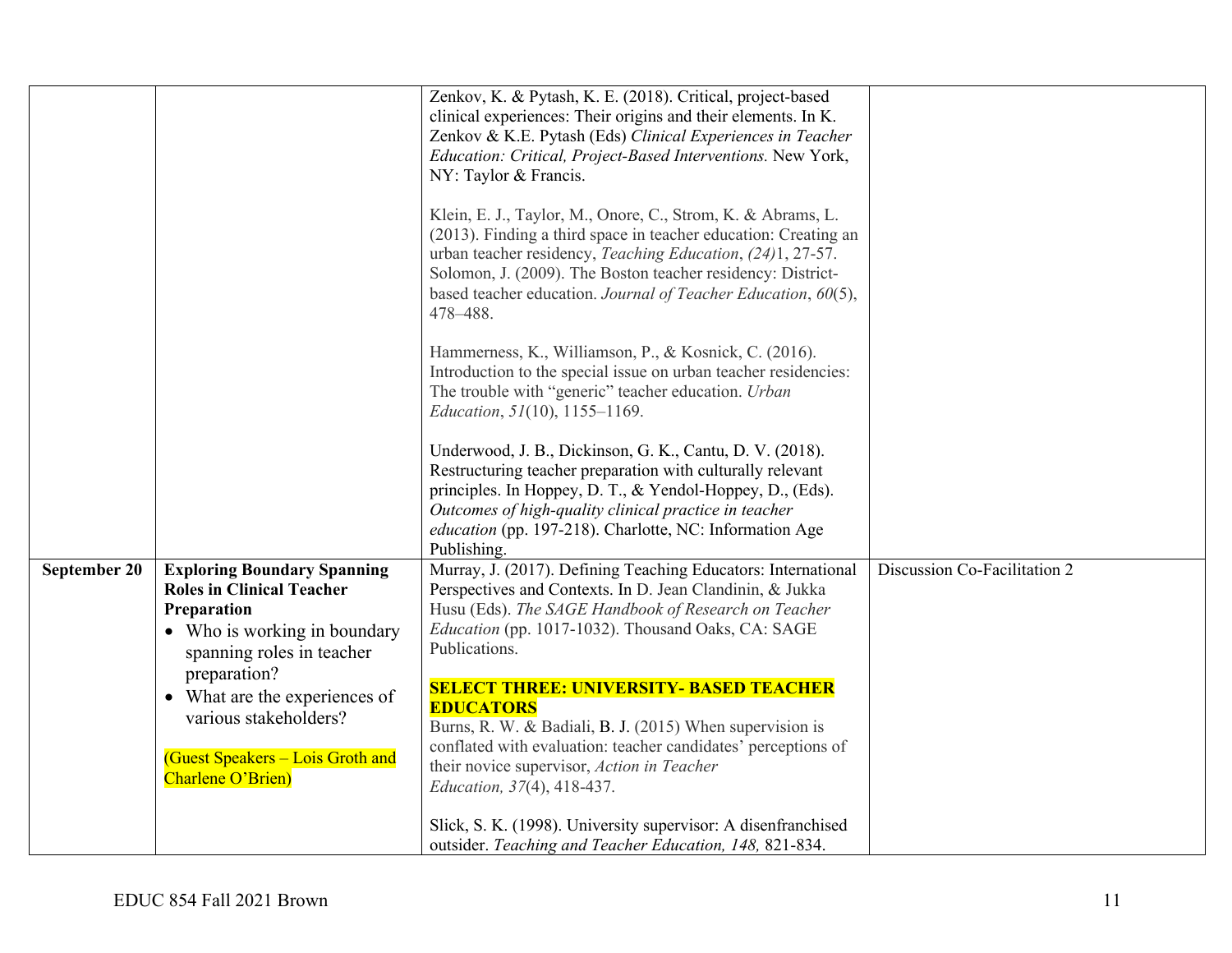|                                                                                                                                                                                                                                                                                       | Zenkov, K. & Pytash, K. E. (2018). Critical, project-based<br>clinical experiences: Their origins and their elements. In K.<br>Zenkov & K.E. Pytash (Eds) Clinical Experiences in Teacher<br>Education: Critical, Project-Based Interventions. New York,<br>NY: Taylor & Francis.<br>Klein, E. J., Taylor, M., Onore, C., Strom, K. & Abrams, L.<br>(2013). Finding a third space in teacher education: Creating an<br>urban teacher residency, Teaching Education, (24)1, 27-57.<br>Solomon, J. (2009). The Boston teacher residency: District-<br>based teacher education. Journal of Teacher Education, 60(5),<br>478-488.<br>Hammerness, K., Williamson, P., & Kosnick, C. (2016).<br>Introduction to the special issue on urban teacher residencies:<br>The trouble with "generic" teacher education. Urban<br><i>Education, 51</i> (10), 1155-1169.<br>Underwood, J. B., Dickinson, G. K., Cantu, D. V. (2018).<br>Restructuring teacher preparation with culturally relevant<br>principles. In Hoppey, D. T., & Yendol-Hoppey, D., (Eds).<br>Outcomes of high-quality clinical practice in teacher |                                                                        |
|---------------------------------------------------------------------------------------------------------------------------------------------------------------------------------------------------------------------------------------------------------------------------------------|-----------------------------------------------------------------------------------------------------------------------------------------------------------------------------------------------------------------------------------------------------------------------------------------------------------------------------------------------------------------------------------------------------------------------------------------------------------------------------------------------------------------------------------------------------------------------------------------------------------------------------------------------------------------------------------------------------------------------------------------------------------------------------------------------------------------------------------------------------------------------------------------------------------------------------------------------------------------------------------------------------------------------------------------------------------------------------------------------------------|------------------------------------------------------------------------|
|                                                                                                                                                                                                                                                                                       |                                                                                                                                                                                                                                                                                                                                                                                                                                                                                                                                                                                                                                                                                                                                                                                                                                                                                                                                                                                                                                                                                                           |                                                                        |
| <b>Exploring Boundary Spanning</b><br><b>Roles in Clinical Teacher</b><br>Preparation<br>• Who is working in boundary<br>spanning roles in teacher<br>preparation?<br>• What are the experiences of<br>various stakeholders?<br>(Guest Speakers - Lois Groth and<br>Charlene O'Brien) | Murray, J. (2017). Defining Teaching Educators: International<br>Perspectives and Contexts. In D. Jean Clandinin, & Jukka<br>Husu (Eds). The SAGE Handbook of Research on Teacher<br>Education (pp. 1017-1032). Thousand Oaks, CA: SAGE<br>Publications.<br><b>SELECT THREE: UNIVERSITY- BASED TEACHER</b><br><b>EDUCATORS</b><br>Burns, R. W. & Badiali, B. J. (2015) When supervision is<br>conflated with evaluation: teacher candidates' perceptions of<br>their novice supervisor, Action in Teacher<br>Education, 37(4), 418-437.<br>Slick, S. K. (1998). University supervisor: A disenfranchised<br>outsider. Teaching and Teacher Education, 148, 821-834.                                                                                                                                                                                                                                                                                                                                                                                                                                       | Discussion Co-Facilitation 2                                           |
|                                                                                                                                                                                                                                                                                       |                                                                                                                                                                                                                                                                                                                                                                                                                                                                                                                                                                                                                                                                                                                                                                                                                                                                                                                                                                                                                                                                                                           | education (pp. 197-218). Charlotte, NC: Information Age<br>Publishing. |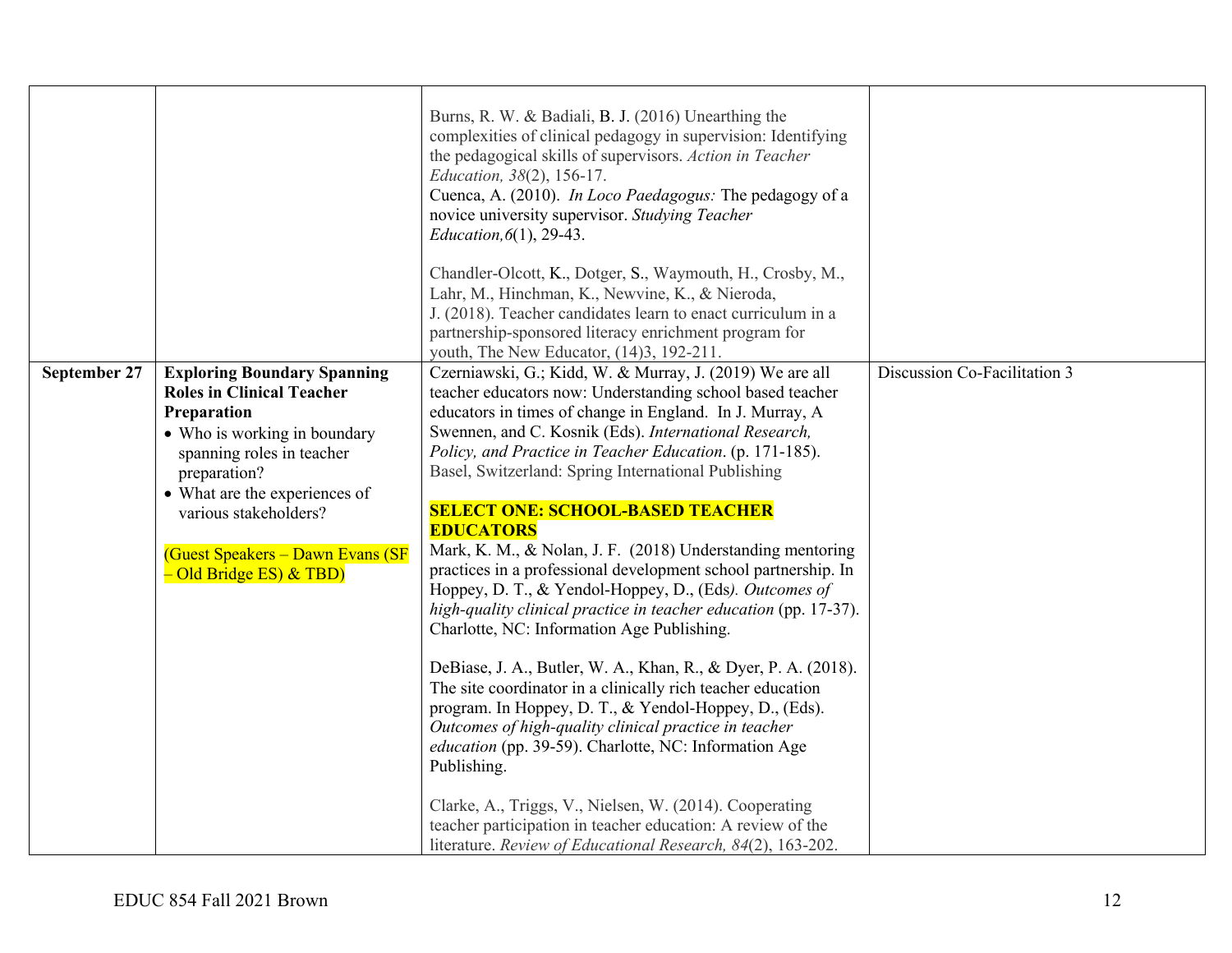|              |                                    | Burns, R. W. & Badiali, B. J. (2016) Unearthing the<br>complexities of clinical pedagogy in supervision: Identifying<br>the pedagogical skills of supervisors. Action in Teacher<br>Education, 38(2), 156-17.<br>Cuenca, A. (2010). In Loco Paedagogus: The pedagogy of a<br>novice university supervisor. Studying Teacher<br>Education, $6(1)$ , 29-43. |                              |
|--------------|------------------------------------|-----------------------------------------------------------------------------------------------------------------------------------------------------------------------------------------------------------------------------------------------------------------------------------------------------------------------------------------------------------|------------------------------|
|              |                                    | Chandler-Olcott, K., Dotger, S., Waymouth, H., Crosby, M.,                                                                                                                                                                                                                                                                                                |                              |
|              |                                    | Lahr, M., Hinchman, K., Newvine, K., & Nieroda,                                                                                                                                                                                                                                                                                                           |                              |
|              |                                    | J. (2018). Teacher candidates learn to enact curriculum in a                                                                                                                                                                                                                                                                                              |                              |
|              |                                    | partnership-sponsored literacy enrichment program for                                                                                                                                                                                                                                                                                                     |                              |
| September 27 | <b>Exploring Boundary Spanning</b> | youth, The New Educator, (14)3, 192-211.<br>Czerniawski, G.; Kidd, W. & Murray, J. (2019) We are all                                                                                                                                                                                                                                                      | Discussion Co-Facilitation 3 |
|              | <b>Roles in Clinical Teacher</b>   | teacher educators now: Understanding school based teacher                                                                                                                                                                                                                                                                                                 |                              |
|              | Preparation                        | educators in times of change in England. In J. Murray, A                                                                                                                                                                                                                                                                                                  |                              |
|              | • Who is working in boundary       | Swennen, and C. Kosnik (Eds). International Research,                                                                                                                                                                                                                                                                                                     |                              |
|              | spanning roles in teacher          | Policy, and Practice in Teacher Education. (p. 171-185).                                                                                                                                                                                                                                                                                                  |                              |
|              | preparation?                       | Basel, Switzerland: Spring International Publishing                                                                                                                                                                                                                                                                                                       |                              |
|              | • What are the experiences of      | <b>SELECT ONE: SCHOOL-BASED TEACHER</b>                                                                                                                                                                                                                                                                                                                   |                              |
|              | various stakeholders?              | <b>EDUCATORS</b>                                                                                                                                                                                                                                                                                                                                          |                              |
|              | (Guest Speakers - Dawn Evans (SF   | Mark, K. M., & Nolan, J. F. (2018) Understanding mentoring                                                                                                                                                                                                                                                                                                |                              |
|              | - Old Bridge ES) & TBD)            | practices in a professional development school partnership. In                                                                                                                                                                                                                                                                                            |                              |
|              |                                    | Hoppey, D. T., & Yendol-Hoppey, D., (Eds). Outcomes of                                                                                                                                                                                                                                                                                                    |                              |
|              |                                    | high-quality clinical practice in teacher education (pp. 17-37).                                                                                                                                                                                                                                                                                          |                              |
|              |                                    | Charlotte, NC: Information Age Publishing.                                                                                                                                                                                                                                                                                                                |                              |
|              |                                    | DeBiase, J. A., Butler, W. A., Khan, R., & Dyer, P. A. (2018).                                                                                                                                                                                                                                                                                            |                              |
|              |                                    | The site coordinator in a clinically rich teacher education                                                                                                                                                                                                                                                                                               |                              |
|              |                                    | program. In Hoppey, D. T., & Yendol-Hoppey, D., (Eds).                                                                                                                                                                                                                                                                                                    |                              |
|              |                                    | Outcomes of high-quality clinical practice in teacher                                                                                                                                                                                                                                                                                                     |                              |
|              |                                    | education (pp. 39-59). Charlotte, NC: Information Age                                                                                                                                                                                                                                                                                                     |                              |
|              |                                    | Publishing.                                                                                                                                                                                                                                                                                                                                               |                              |
|              |                                    | Clarke, A., Triggs, V., Nielsen, W. (2014). Cooperating                                                                                                                                                                                                                                                                                                   |                              |
|              |                                    | teacher participation in teacher education: A review of the                                                                                                                                                                                                                                                                                               |                              |
|              |                                    | literature. Review of Educational Research, 84(2), 163-202.                                                                                                                                                                                                                                                                                               |                              |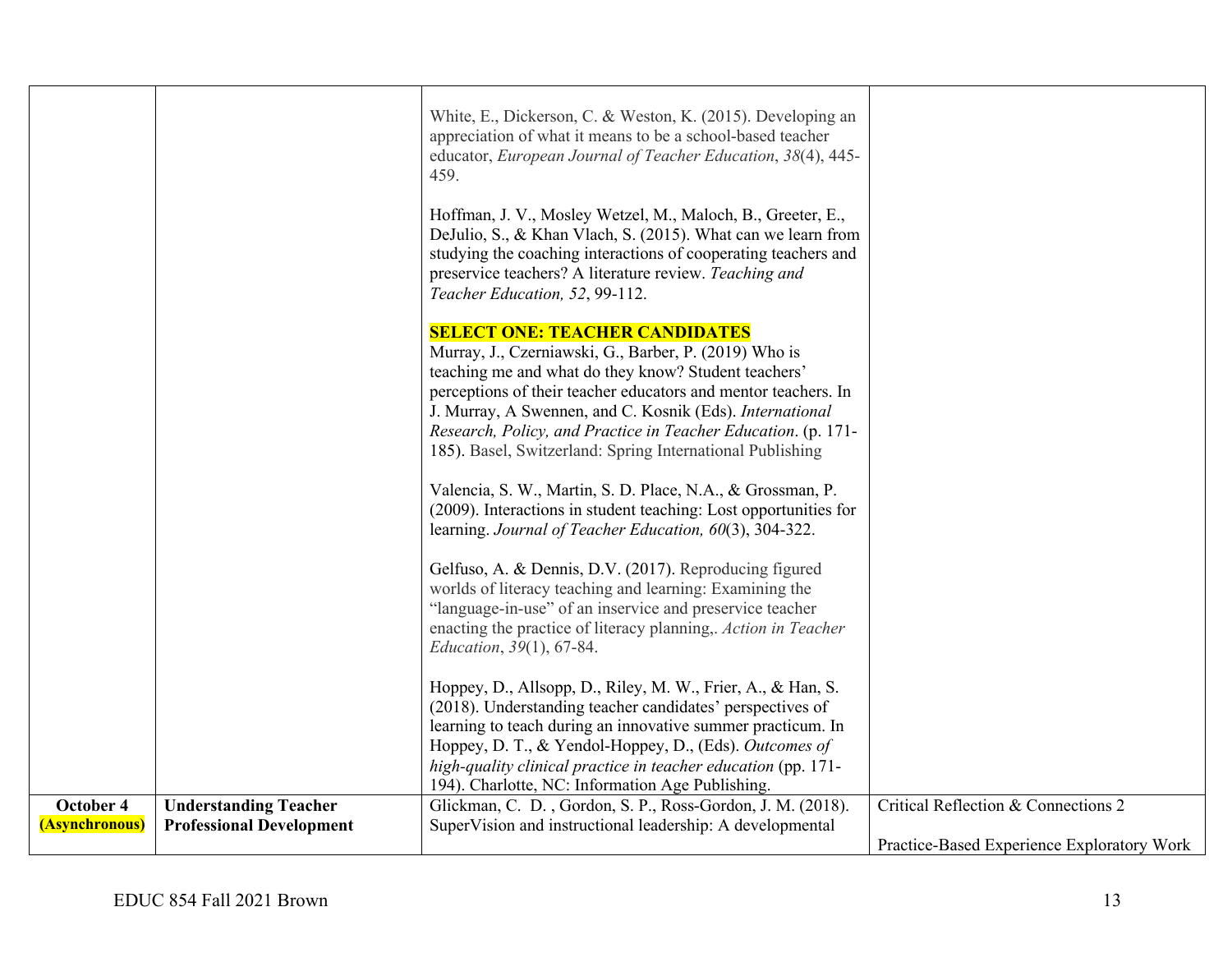|                |                                 | White, E., Dickerson, C. & Weston, K. (2015). Developing an<br>appreciation of what it means to be a school-based teacher                                                                                                                                                                 |                                            |
|----------------|---------------------------------|-------------------------------------------------------------------------------------------------------------------------------------------------------------------------------------------------------------------------------------------------------------------------------------------|--------------------------------------------|
|                |                                 | educator, European Journal of Teacher Education, 38(4), 445-<br>459.                                                                                                                                                                                                                      |                                            |
|                |                                 | Hoffman, J. V., Mosley Wetzel, M., Maloch, B., Greeter, E.,<br>DeJulio, S., & Khan Vlach, S. (2015). What can we learn from<br>studying the coaching interactions of cooperating teachers and<br>preservice teachers? A literature review. Teaching and<br>Teacher Education, 52, 99-112. |                                            |
|                |                                 | <b>SELECT ONE: TEACHER CANDIDATES</b><br>Murray, J., Czerniawski, G., Barber, P. (2019) Who is                                                                                                                                                                                            |                                            |
|                |                                 | teaching me and what do they know? Student teachers'<br>perceptions of their teacher educators and mentor teachers. In                                                                                                                                                                    |                                            |
|                |                                 | J. Murray, A Swennen, and C. Kosnik (Eds). International                                                                                                                                                                                                                                  |                                            |
|                |                                 | Research, Policy, and Practice in Teacher Education. (p. 171-<br>185). Basel, Switzerland: Spring International Publishing                                                                                                                                                                |                                            |
|                |                                 | Valencia, S. W., Martin, S. D. Place, N.A., & Grossman, P.<br>(2009). Interactions in student teaching: Lost opportunities for<br>learning. Journal of Teacher Education, 60(3), 304-322.                                                                                                 |                                            |
|                |                                 | Gelfuso, A. & Dennis, D.V. (2017). Reproducing figured                                                                                                                                                                                                                                    |                                            |
|                |                                 | worlds of literacy teaching and learning: Examining the<br>"language-in-use" of an inservice and preservice teacher                                                                                                                                                                       |                                            |
|                |                                 | enacting the practice of literacy planning,. Action in Teacher<br>Education, 39(1), 67-84.                                                                                                                                                                                                |                                            |
|                |                                 | Hoppey, D., Allsopp, D., Riley, M. W., Frier, A., & Han, S.                                                                                                                                                                                                                               |                                            |
|                |                                 | (2018). Understanding teacher candidates' perspectives of<br>learning to teach during an innovative summer practicum. In                                                                                                                                                                  |                                            |
|                |                                 | Hoppey, D. T., & Yendol-Hoppey, D., (Eds). Outcomes of                                                                                                                                                                                                                                    |                                            |
|                |                                 | high-quality clinical practice in teacher education (pp. 171-<br>194). Charlotte, NC: Information Age Publishing.                                                                                                                                                                         |                                            |
| October 4      | <b>Understanding Teacher</b>    | Glickman, C. D., Gordon, S. P., Ross-Gordon, J. M. (2018).                                                                                                                                                                                                                                | Critical Reflection & Connections 2        |
| (Asynchronous) | <b>Professional Development</b> | SuperVision and instructional leadership: A developmental                                                                                                                                                                                                                                 |                                            |
|                |                                 |                                                                                                                                                                                                                                                                                           | Practice-Based Experience Exploratory Work |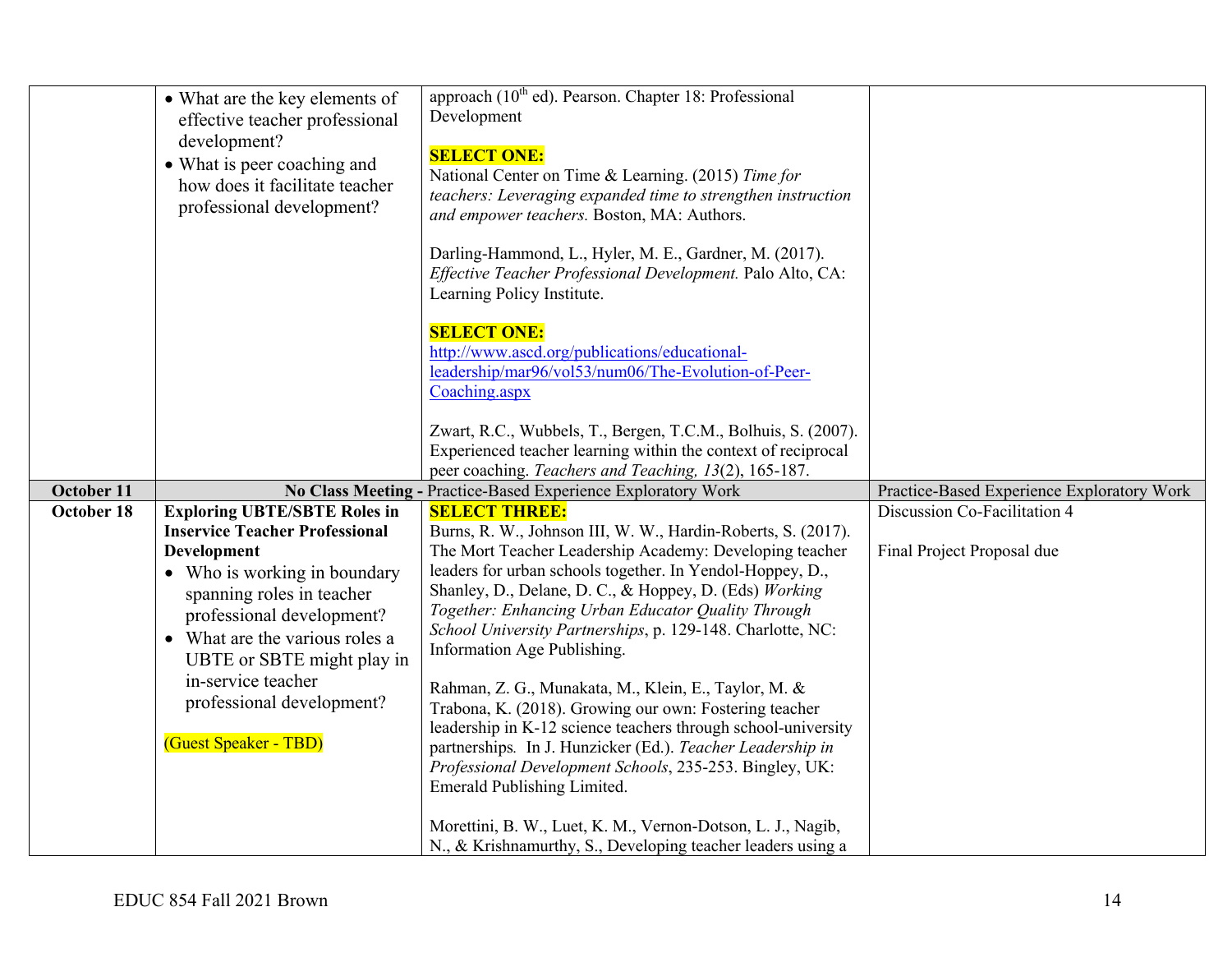|            | • What are the key elements of<br>effective teacher professional<br>development?<br>• What is peer coaching and<br>how does it facilitate teacher<br>professional development?                                                                                                                                                           | approach (10 <sup>th</sup> ed). Pearson. Chapter 18: Professional<br>Development<br><b>SELECT ONE:</b><br>National Center on Time & Learning. (2015) Time for<br>teachers: Leveraging expanded time to strengthen instruction<br>and empower teachers. Boston, MA: Authors.<br>Darling-Hammond, L., Hyler, M. E., Gardner, M. (2017).<br>Effective Teacher Professional Development. Palo Alto, CA:<br>Learning Policy Institute.<br><b>SELECT ONE:</b><br>http://www.ascd.org/publications/educational-<br>leadership/mar96/vol53/num06/The-Evolution-of-Peer-<br>Coaching.aspx<br>Zwart, R.C., Wubbels, T., Bergen, T.C.M., Bolhuis, S. (2007).<br>Experienced teacher learning within the context of reciprocal<br>peer coaching. Teachers and Teaching, 13(2), 165-187.                                                                                                                        |                                                            |
|------------|------------------------------------------------------------------------------------------------------------------------------------------------------------------------------------------------------------------------------------------------------------------------------------------------------------------------------------------|----------------------------------------------------------------------------------------------------------------------------------------------------------------------------------------------------------------------------------------------------------------------------------------------------------------------------------------------------------------------------------------------------------------------------------------------------------------------------------------------------------------------------------------------------------------------------------------------------------------------------------------------------------------------------------------------------------------------------------------------------------------------------------------------------------------------------------------------------------------------------------------------------|------------------------------------------------------------|
| October 11 |                                                                                                                                                                                                                                                                                                                                          | No Class Meeting - Practice-Based Experience Exploratory Work                                                                                                                                                                                                                                                                                                                                                                                                                                                                                                                                                                                                                                                                                                                                                                                                                                      | Practice-Based Experience Exploratory Work                 |
| October 18 | <b>Exploring UBTE/SBTE Roles in</b><br><b>Inservice Teacher Professional</b><br><b>Development</b><br>• Who is working in boundary<br>spanning roles in teacher<br>professional development?<br>• What are the various roles a<br>UBTE or SBTE might play in<br>in-service teacher<br>professional development?<br>(Guest Speaker - TBD) | <b>SELECT THREE:</b><br>Burns, R. W., Johnson III, W. W., Hardin-Roberts, S. (2017).<br>The Mort Teacher Leadership Academy: Developing teacher<br>leaders for urban schools together. In Yendol-Hoppey, D.,<br>Shanley, D., Delane, D. C., & Hoppey, D. (Eds) Working<br>Together: Enhancing Urban Educator Quality Through<br>School University Partnerships, p. 129-148. Charlotte, NC:<br>Information Age Publishing.<br>Rahman, Z. G., Munakata, M., Klein, E., Taylor, M. &<br>Trabona, K. (2018). Growing our own: Fostering teacher<br>leadership in K-12 science teachers through school-university<br>partnerships. In J. Hunzicker (Ed.). Teacher Leadership in<br>Professional Development Schools, 235-253. Bingley, UK:<br>Emerald Publishing Limited.<br>Morettini, B. W., Luet, K. M., Vernon-Dotson, L. J., Nagib,<br>N., & Krishnamurthy, S., Developing teacher leaders using a | Discussion Co-Facilitation 4<br>Final Project Proposal due |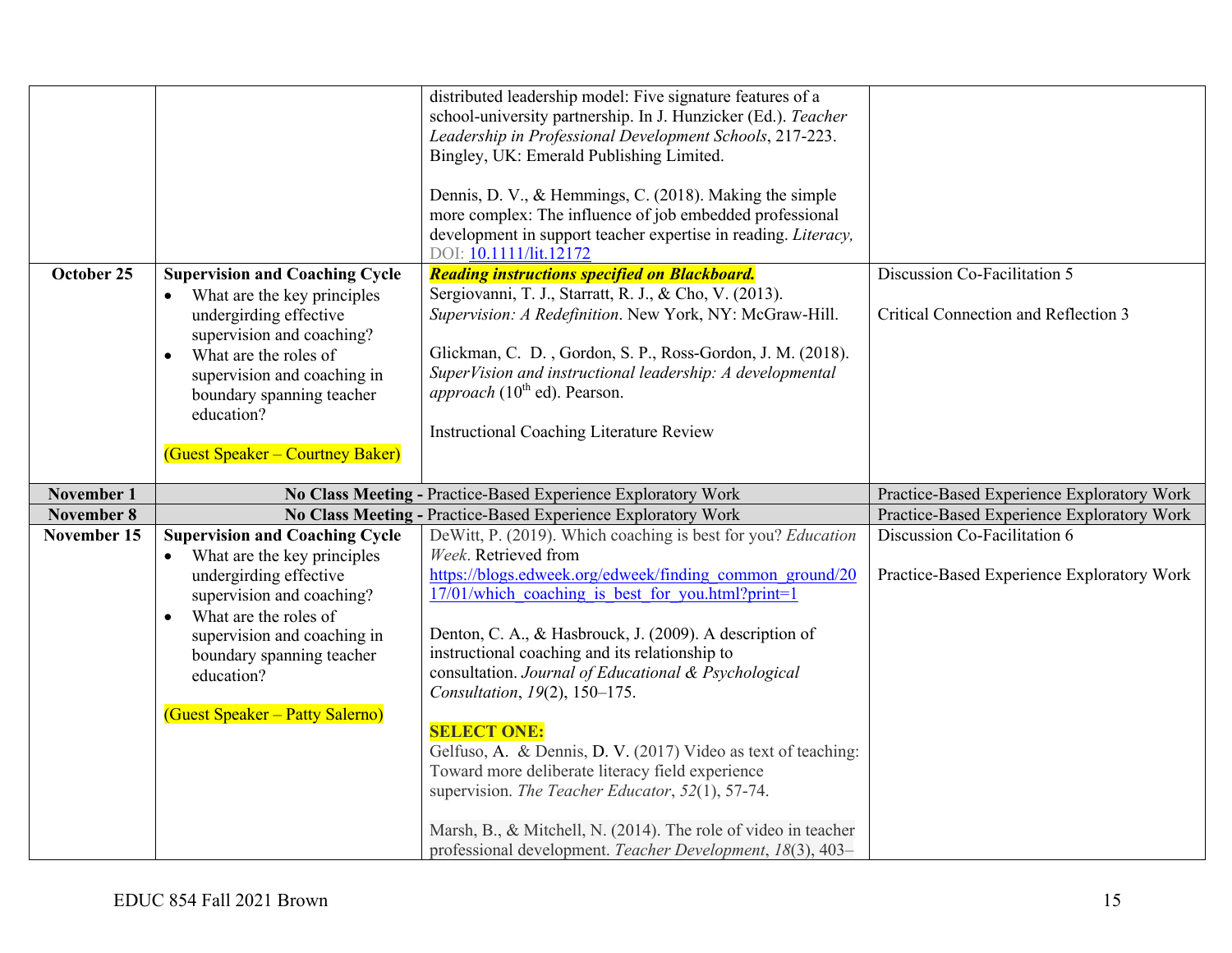|                   |                                                                                                                                                                                                                                                                                 | distributed leadership model: Five signature features of a<br>school-university partnership. In J. Hunzicker (Ed.). Teacher<br>Leadership in Professional Development Schools, 217-223.<br>Bingley, UK: Emerald Publishing Limited.<br>Dennis, D. V., & Hemmings, C. (2018). Making the simple<br>more complex: The influence of job embedded professional                                                 |                                                                            |
|-------------------|---------------------------------------------------------------------------------------------------------------------------------------------------------------------------------------------------------------------------------------------------------------------------------|------------------------------------------------------------------------------------------------------------------------------------------------------------------------------------------------------------------------------------------------------------------------------------------------------------------------------------------------------------------------------------------------------------|----------------------------------------------------------------------------|
|                   |                                                                                                                                                                                                                                                                                 | development in support teacher expertise in reading. Literacy,<br>DOI: 10.1111/lit.12172                                                                                                                                                                                                                                                                                                                   |                                                                            |
| October 25        | <b>Supervision and Coaching Cycle</b><br>What are the key principles<br>undergirding effective<br>supervision and coaching?<br>What are the roles of<br>$\bullet$<br>supervision and coaching in<br>boundary spanning teacher<br>education?<br>(Guest Speaker – Courtney Baker) | <b>Reading instructions specified on Blackboard.</b><br>Sergiovanni, T. J., Starratt, R. J., & Cho, V. (2013).<br>Supervision: A Redefinition. New York, NY: McGraw-Hill.<br>Glickman, C. D., Gordon, S. P., Ross-Gordon, J. M. (2018).<br>SuperVision and instructional leadership: A developmental<br><i>approach</i> (10 <sup>th</sup> ed). Pearson.<br><b>Instructional Coaching Literature Review</b> | Discussion Co-Facilitation 5<br>Critical Connection and Reflection 3       |
| <b>November 1</b> |                                                                                                                                                                                                                                                                                 | No Class Meeting - Practice-Based Experience Exploratory Work                                                                                                                                                                                                                                                                                                                                              | Practice-Based Experience Exploratory Work                                 |
| <b>November 8</b> |                                                                                                                                                                                                                                                                                 | No Class Meeting - Practice-Based Experience Exploratory Work                                                                                                                                                                                                                                                                                                                                              | Practice-Based Experience Exploratory Work                                 |
| November 15       | <b>Supervision and Coaching Cycle</b><br>What are the key principles<br>undergirding effective                                                                                                                                                                                  | DeWitt, P. (2019). Which coaching is best for you? Education<br>Week. Retrieved from<br>https://blogs.edweek.org/edweek/finding common ground/20                                                                                                                                                                                                                                                           | Discussion Co-Facilitation 6<br>Practice-Based Experience Exploratory Work |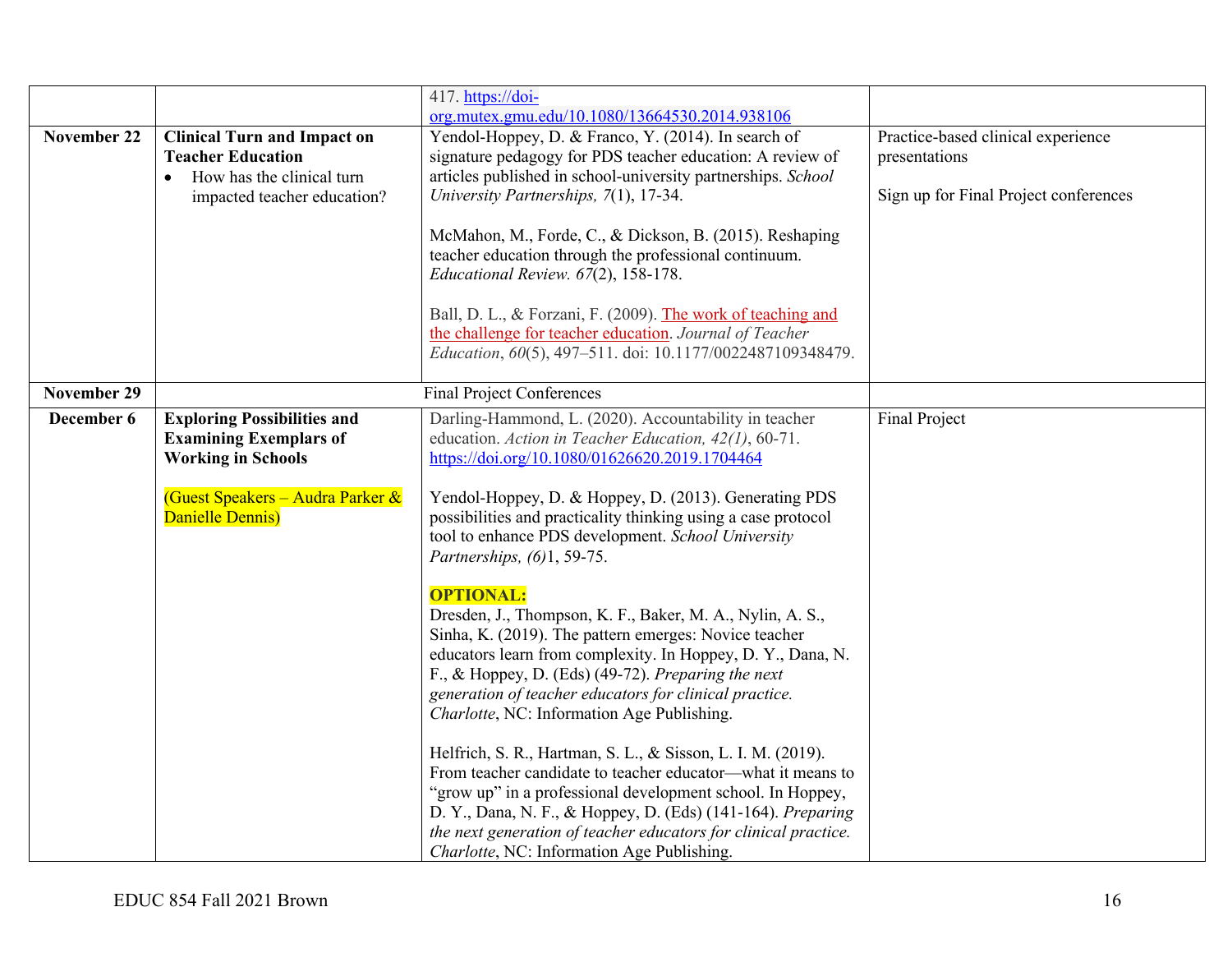|                    |                                    | 417. https://doi-                                                                                                 |                                       |
|--------------------|------------------------------------|-------------------------------------------------------------------------------------------------------------------|---------------------------------------|
|                    |                                    | org.mutex.gmu.edu/10.1080/13664530.2014.938106                                                                    |                                       |
| <b>November 22</b> | <b>Clinical Turn and Impact on</b> | Yendol-Hoppey, D. & Franco, Y. (2014). In search of                                                               | Practice-based clinical experience    |
|                    | <b>Teacher Education</b>           | signature pedagogy for PDS teacher education: A review of                                                         | presentations                         |
|                    | How has the clinical turn          | articles published in school-university partnerships. School                                                      |                                       |
|                    | impacted teacher education?        | University Partnerships, 7(1), 17-34.                                                                             | Sign up for Final Project conferences |
|                    |                                    | McMahon, M., Forde, C., & Dickson, B. (2015). Reshaping                                                           |                                       |
|                    |                                    | teacher education through the professional continuum.                                                             |                                       |
|                    |                                    | Educational Review. 67(2), 158-178.                                                                               |                                       |
|                    |                                    |                                                                                                                   |                                       |
|                    |                                    | Ball, D. L., & Forzani, F. (2009). The work of teaching and                                                       |                                       |
|                    |                                    | the challenge for teacher education. Journal of Teacher                                                           |                                       |
|                    |                                    | Education, 60(5), 497-511. doi: 10.1177/0022487109348479.                                                         |                                       |
|                    |                                    |                                                                                                                   |                                       |
| <b>November 29</b> |                                    | <b>Final Project Conferences</b>                                                                                  |                                       |
| December 6         | <b>Exploring Possibilities and</b> | Darling-Hammond, L. (2020). Accountability in teacher                                                             | Final Project                         |
|                    | <b>Examining Exemplars of</b>      | education. Action in Teacher Education, 42(1), 60-71.                                                             |                                       |
|                    | <b>Working in Schools</b>          | https://doi.org/10.1080/01626620.2019.1704464                                                                     |                                       |
|                    | (Guest Speakers – Audra Parker &   | Yendol-Hoppey, D. & Hoppey, D. (2013). Generating PDS                                                             |                                       |
|                    | Danielle Dennis)                   | possibilities and practicality thinking using a case protocol                                                     |                                       |
|                    |                                    | tool to enhance PDS development. School University                                                                |                                       |
|                    |                                    | Partnerships, (6)1, 59-75.                                                                                        |                                       |
|                    |                                    |                                                                                                                   |                                       |
|                    |                                    | <b>OPTIONAL:</b>                                                                                                  |                                       |
|                    |                                    | Dresden, J., Thompson, K. F., Baker, M. A., Nylin, A. S.,                                                         |                                       |
|                    |                                    | Sinha, K. (2019). The pattern emerges: Novice teacher                                                             |                                       |
|                    |                                    | educators learn from complexity. In Hoppey, D. Y., Dana, N.<br>F., & Hoppey, D. (Eds) (49-72). Preparing the next |                                       |
|                    |                                    | generation of teacher educators for clinical practice.                                                            |                                       |
|                    |                                    | Charlotte, NC: Information Age Publishing.                                                                        |                                       |
|                    |                                    |                                                                                                                   |                                       |
|                    |                                    | Helfrich, S. R., Hartman, S. L., & Sisson, L. I. M. (2019).                                                       |                                       |
|                    |                                    | From teacher candidate to teacher educator—what it means to                                                       |                                       |
|                    |                                    | "grow up" in a professional development school. In Hoppey,                                                        |                                       |
|                    |                                    | D. Y., Dana, N. F., & Hoppey, D. (Eds) (141-164). Preparing                                                       |                                       |
|                    |                                    | the next generation of teacher educators for clinical practice.                                                   |                                       |
|                    |                                    | Charlotte, NC: Information Age Publishing.                                                                        |                                       |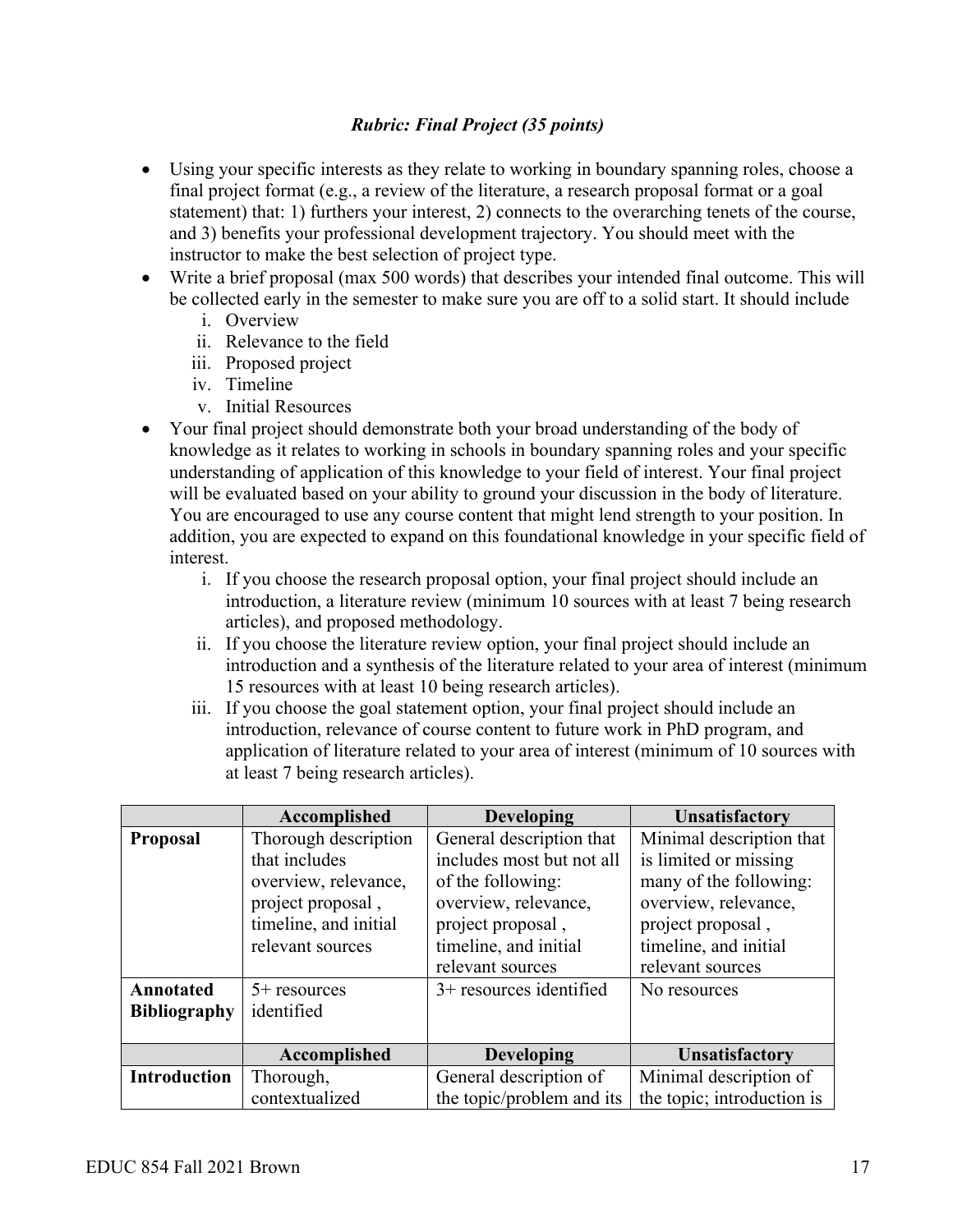## *Rubric: Final Project (35 points)*

- Using your specific interests as they relate to working in boundary spanning roles, choose a final project format (e.g., a review of the literature, a research proposal format or a goal statement) that: 1) furthers your interest, 2) connects to the overarching tenets of the course, and 3) benefits your professional development trajectory. You should meet with the instructor to make the best selection of project type.
- Write a brief proposal (max 500 words) that describes your intended final outcome. This will be collected early in the semester to make sure you are off to a solid start. It should include
	- i. Overview
	- ii. Relevance to the field
	- iii. Proposed project
	- iv. Timeline
	- v. Initial Resources
- Your final project should demonstrate both your broad understanding of the body of knowledge as it relates to working in schools in boundary spanning roles and your specific understanding of application of this knowledge to your field of interest. Your final project will be evaluated based on your ability to ground your discussion in the body of literature. You are encouraged to use any course content that might lend strength to your position. In addition, you are expected to expand on this foundational knowledge in your specific field of interest.
	- i. If you choose the research proposal option, your final project should include an introduction, a literature review (minimum 10 sources with at least 7 being research articles), and proposed methodology.
	- ii. If you choose the literature review option, your final project should include an introduction and a synthesis of the literature related to your area of interest (minimum 15 resources with at least 10 being research articles).
	- iii. If you choose the goal statement option, your final project should include an introduction, relevance of course content to future work in PhD program, and application of literature related to your area of interest (minimum of 10 sources with at least 7 being research articles).

|                     | Accomplished          | <b>Developing</b>         | <b>Unsatisfactory</b>      |
|---------------------|-----------------------|---------------------------|----------------------------|
| <b>Proposal</b>     | Thorough description  | General description that  | Minimal description that   |
|                     | that includes         | includes most but not all | is limited or missing      |
|                     | overview, relevance,  | of the following:         | many of the following:     |
|                     | project proposal,     | overview, relevance,      | overview, relevance,       |
|                     | timeline, and initial | project proposal,         | project proposal,          |
|                     | relevant sources      | timeline, and initial     | timeline, and initial      |
|                     |                       | relevant sources          | relevant sources           |
| Annotated           | $5+$ resources        | $3+$ resources identified | No resources               |
| <b>Bibliography</b> | identified            |                           |                            |
|                     |                       |                           |                            |
|                     | Accomplished          | <b>Developing</b>         | <b>Unsatisfactory</b>      |
| <b>Introduction</b> | Thorough,             | General description of    | Minimal description of     |
|                     | contextualized        | the topic/problem and its | the topic; introduction is |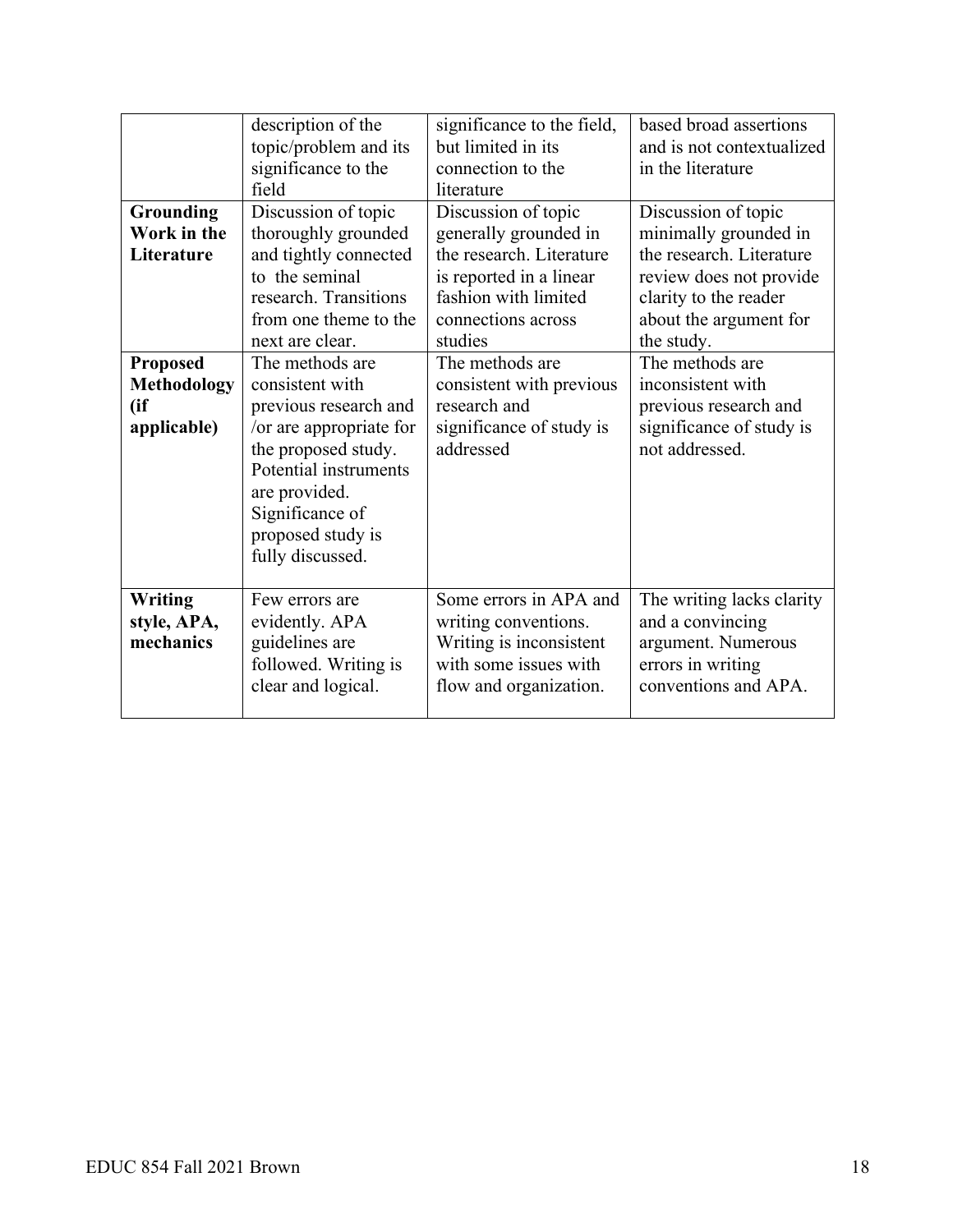|                    | description of the<br>topic/problem and its<br>significance to the<br>field | significance to the field,<br>but limited in its<br>connection to the<br>literature | based broad assertions<br>and is not contextualized<br>in the literature |
|--------------------|-----------------------------------------------------------------------------|-------------------------------------------------------------------------------------|--------------------------------------------------------------------------|
|                    |                                                                             |                                                                                     |                                                                          |
| Grounding          | Discussion of topic                                                         | Discussion of topic                                                                 | Discussion of topic                                                      |
| Work in the        | thoroughly grounded                                                         | generally grounded in                                                               | minimally grounded in                                                    |
| Literature         | and tightly connected                                                       | the research. Literature                                                            | the research. Literature                                                 |
|                    | to the seminal                                                              | is reported in a linear                                                             | review does not provide                                                  |
|                    | research. Transitions                                                       | fashion with limited                                                                | clarity to the reader                                                    |
|                    | from one theme to the                                                       | connections across                                                                  | about the argument for                                                   |
|                    | next are clear.                                                             | studies                                                                             | the study.                                                               |
| <b>Proposed</b>    | The methods are                                                             | The methods are                                                                     | The methods are                                                          |
| <b>Methodology</b> | consistent with                                                             | consistent with previous                                                            | inconsistent with                                                        |
| (ii)               | previous research and                                                       | research and                                                                        | previous research and                                                    |
| applicable)        | /or are appropriate for                                                     |                                                                                     | significance of study is                                                 |
|                    |                                                                             | significance of study is<br>addressed                                               | not addressed.                                                           |
|                    | the proposed study.                                                         |                                                                                     |                                                                          |
|                    | Potential instruments                                                       |                                                                                     |                                                                          |
|                    | are provided.                                                               |                                                                                     |                                                                          |
|                    | Significance of                                                             |                                                                                     |                                                                          |
|                    | proposed study is                                                           |                                                                                     |                                                                          |
|                    | fully discussed.                                                            |                                                                                     |                                                                          |
|                    |                                                                             |                                                                                     |                                                                          |
| <b>Writing</b>     | Few errors are                                                              | Some errors in APA and                                                              | The writing lacks clarity                                                |
| style, APA,        | evidently. APA                                                              | writing conventions.                                                                | and a convincing                                                         |
| mechanics          | guidelines are                                                              | Writing is inconsistent                                                             | argument. Numerous                                                       |
|                    | followed. Writing is                                                        | with some issues with                                                               | errors in writing                                                        |
|                    | clear and logical.                                                          | flow and organization.                                                              | conventions and APA.                                                     |
|                    |                                                                             |                                                                                     |                                                                          |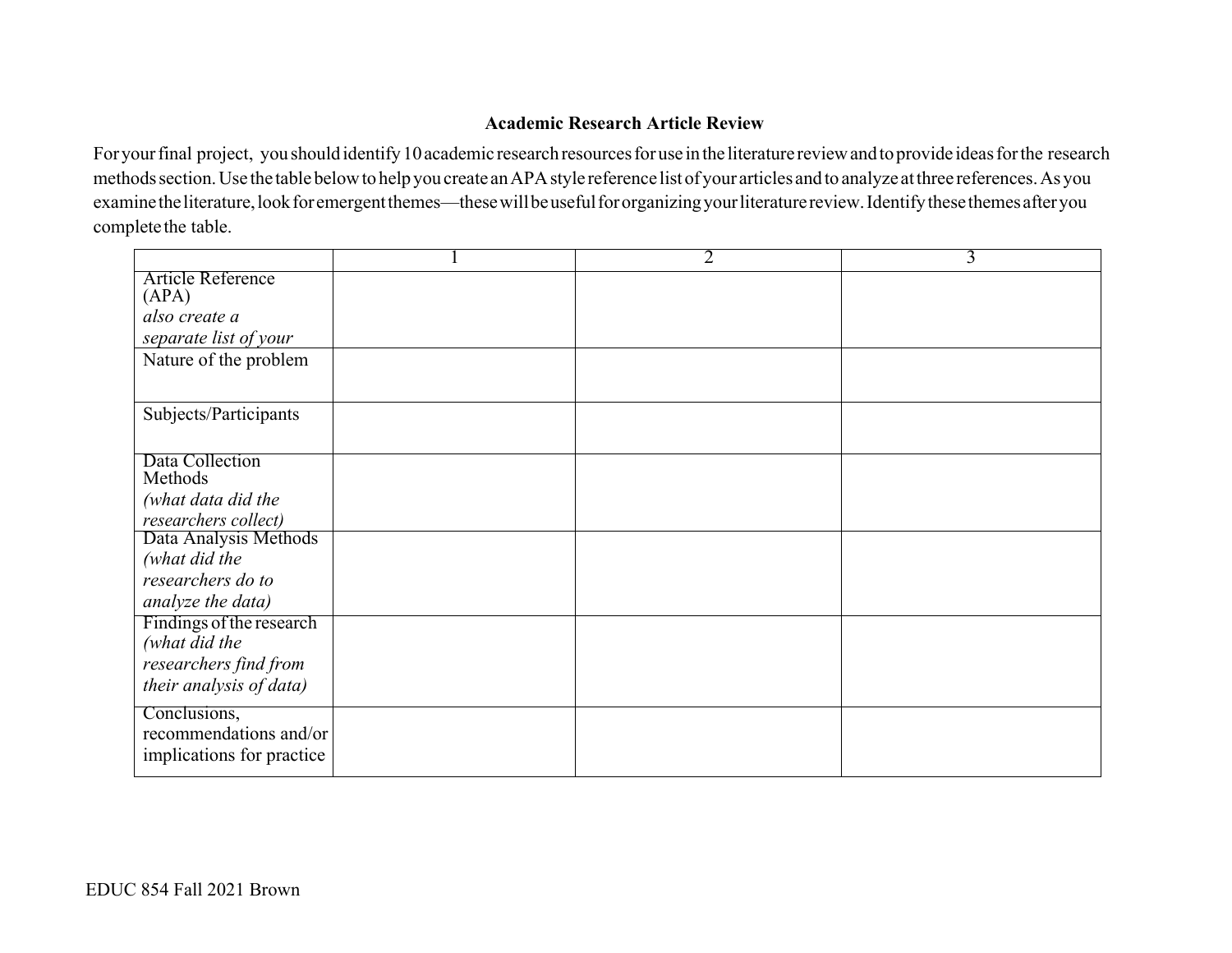## **Academic Research Article Review**

For your final project, you should identify 10 academic research resources for use in the literature review and to provide ideas for the research methodssection.Use the table belowto help you create anAPAstyle reference list of your articles and to analyze atthree references.As you examine the literature, look for emergent themes—these will be useful for organizing your literature review. Identify these themes after you completethe table.

|                            | 2 | 3 |
|----------------------------|---|---|
| Article Reference<br>(APA) |   |   |
| also create a              |   |   |
| separate list of your      |   |   |
| Nature of the problem      |   |   |
|                            |   |   |
| Subjects/Participants      |   |   |
|                            |   |   |
| Data Collection<br>Methods |   |   |
| (what data did the         |   |   |
| researchers collect)       |   |   |
| Data Analysis Methods      |   |   |
| (what did the              |   |   |
| researchers do to          |   |   |
| analyze the data)          |   |   |
| Findings of the research   |   |   |
| (what did the              |   |   |
| researchers find from      |   |   |
| their analysis of data)    |   |   |
| Conclusions,               |   |   |
| recommendations and/or     |   |   |
| implications for practice  |   |   |